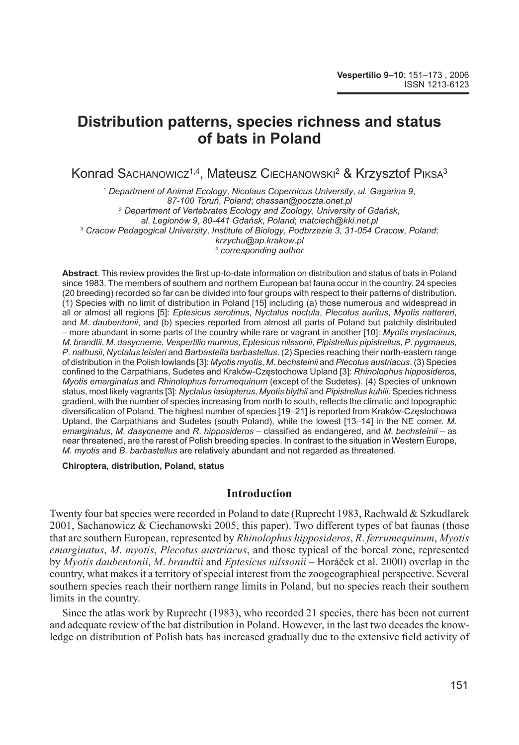# **Distribution patterns, species richness and status of bats in Poland**

Konrad Sасналоwicz<sup>1,4</sup>, Mateusz Сієсналоwsкі<sup>2</sup> & Krzysztof Рікѕа<sup>з</sup>

<sup>1</sup> *Department of Animal Ecology*, *Nicolaus Copernicus University*, *ul*. *Gagarina 9*, *87-100 Toruń*, *Poland*; *chassan@poczta*.*onet*.*pl* <sup>2</sup> *Department of Vertebrates Ecology and Zoology*, *University of Gdańsk*, *al*. *Legionów 9*, *80-441 Gdańsk*, *Poland*; *matciech@kki*.*net*.*pl* <sup>3</sup> *Cracow Pedagogical University*, *Institute of Biology*, *Podbrzezie 3*, *31-054 Cracow*, *Poland*; *krzychu@ap*.*krakow*.*pl* <sup>4</sup> *corresponding author*

Abstract. This review provides the first up-to-date information on distribution and status of bats in Poland since 1983. The members of southern and northern European bat fauna occur in the country. 24 species (20 breeding) recorded so far can be divided into four groups with respect to their patterns of distribution. (1) Species with no limit of distribution in Poland [15] including (a) those numerous and widespread in all or almost all regions [5]: *Eptesicus serotinus*, *Nyctalus noctula*, *Plecotus auritus*, *Myotis nattereri*, and *M*. *daubentonii*, and (b) species reported from almost all parts of Poland but patchily distributed – more abundant in some parts of the country while rare or vagrant in another [10]: *Myotis mystacinus*, *M*. *brandtii*, *M*. *dasycneme*, *Vespertilio murinus*, *Eptesicus nilssonii*, *Pi pis t rel lus pipistrellus*, *P*. *pygmaeus*, *P.* nathusii, Nyctalus leisleri and Barbastella barbastellus. (2) Species reaching their north-eastern range of dis tri bu ti on in the Polish lowlands [3]: *Myotis myotis*, *M*. *bechsteinii* and *Plecotus austriacus*. (3) Species confi ned to the Carpathians, Sudetes and Kraków-Częstochowa Upland [3]: *Rhinolophus hipposideros*, *Myotis emarginatus* and *Rhinolophus ferrumequinum* (except of the Sudetes). (4) Species of unknown status, most likely vagrants [3]: *Nyctalus lasiopterus, Myotis blythii* and *Pipistrellus kuhlii*. Species richness gradient, with the number of species increasing from north to south, reflects the climatic and topographic diversification of Poland. The highest number of species [19–21] is reported from Kraków-Czestochowa Upland, the Carpathians and Sudetes (south Poland), while the lowest [13–14] in the NE corner. *M. emarginatus*, *M*. *dasycneme* and *R*. *hipposideros* – classifi ed as endangered, and *M*. *bechsteinii* – as near threatened, are the rarest of Polish breeding species. In contrast to the situation in Western Europe, *M*. *myotis* and *B*. *barbastellus* are relatively abundant and not regarded as threatened.

**Chiroptera, distribution, Poland, status**

#### **Introduction**

Twenty four bat species were recorded in Poland to date (Ruprecht 1983, Rachwald & Szkudlarek 2001, Sachanowicz & Ciechanowski 2005, this paper). Two different types of bat faunas (those that are southern European, represented by *Rhinolophus hipposideros*, *R*. *fer ru me qui num*, *Myotis emarginatus*, *M*. *myotis*, *Plecotus austriacus*, and those typical of the boreal zone, represented by *Myotis daubentonii*, *M*. *brandtii* and *Eptesicus nilssonii* – Horáček et al. 2000) overlap in the country, what makes it a territory of special interest from the zoogeographical perspective. Several southern species reach their northern range limits in Poland, but no species reach their southern limits in the country.

Since the atlas work by Ruprecht (1983), who recorded 21 species, there has been not current and adequate review of the bat distribution in Poland. However, in the last two decades the knowledge on distribution of Polish bats has increased gradually due to the extensive field activity of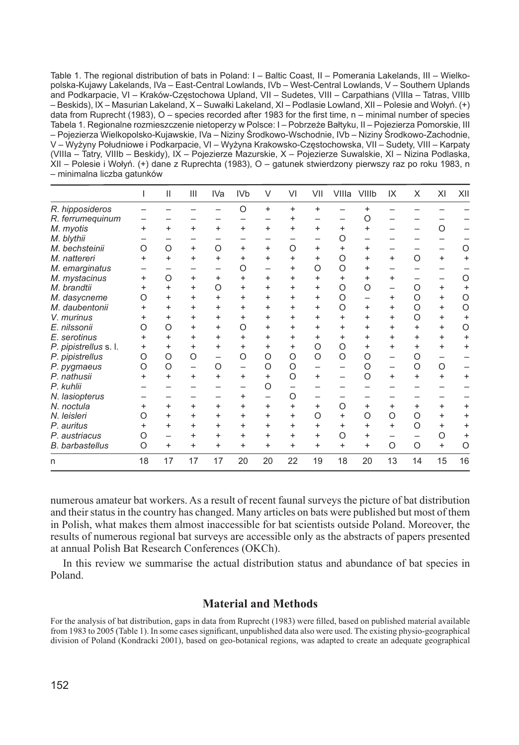Table 1. The regional distribution of bats in Poland: I – Baltic Coast, II – Pomerania Lakelands, III – Wielkopolska-Kujawy Lakelands, IVa – East-Central Lowlands, IVb – West-Central Lowlands, V – Southern Uplands and Podkarpacie, VI – Kraków-Częstochowa Upland, VII – Sudetes, VIII – Carpathians (VIIIa – Tatras, VIIIb – Beskids), IX – Masurian Lakeland, X – Suwałki Lakeland, XI – Podlasie Lowland, XII – Polesie and Wołyń. (+) data from Ruprecht (1983),  $O$  – species recorded after 1983 for the first time, n – minimal number of species Tabela 1. Regionalne rozmieszczenie nietoperzy w Polsce: I – Pobrzeże Bałtyku, II – Pojezierza Pomorskie, III – Pojezierza Wielkopolsko-Kujawskie, IVa – Niziny Środkowo-Wschodnie, IVb – Niziny Środkowo-Zachodnie, V – Wyżyny Południowe i Podkarpacie, VI – Wyżyna Krakowsko-Częstochowska, VII – Sudety, VIII – Karpaty (VIIIa – Tatry, VIIIb – Beskidy), IX – Pojezierze Mazurskie, X – Pojezierze Suwalskie, XI – Nizina Podlaska, XII – Polesie i Wołyń. (+) dane z Ruprechta (1983), O – gatunek stwierdzony pierwszy raz po roku 1983, n – minimalna liczba gatunków

|                        |           | Ш         | Ш                        | IVa       | IV <sub>b</sub> | V         | VI        | VII       | VIIIa     | VIIIb     | IX                | X         | ΧI        | XII       |
|------------------------|-----------|-----------|--------------------------|-----------|-----------------|-----------|-----------|-----------|-----------|-----------|-------------------|-----------|-----------|-----------|
| R. hipposideros        |           |           |                          |           | O               | $\ddot{}$ | $\ddot{}$ | $\ddot{}$ |           | +         |                   |           |           |           |
| R. ferrumequinum       |           |           |                          |           |                 |           | $\ddot{}$ |           |           | O         |                   |           |           |           |
| M. myotis              | $\ddot{}$ | $\ddot{}$ | $\ddot{}$                | $\ddot{}$ | $\ddot{}$       | $\ddot{}$ | $\ddot{}$ | $\ddot{}$ | $\ddot{}$ | $\ddot{}$ |                   |           | O         |           |
| M. blythii             |           |           |                          |           |                 |           |           |           | O         |           |                   |           |           |           |
| M. bechsteinii         | $\Omega$  | $\circ$   | $\ddot{}$                | $\circ$   | $\ddot{}$       | $\ddot{}$ | $\Omega$  | $\ddot{}$ | $\ddot{}$ | $\ddot{}$ |                   |           |           | $\circ$   |
| M. nattereri           | $\ddot{}$ | $\ddot{}$ | $\ddot{}$                | $\ddot{}$ | $\ddot{}$       | $\ddot{}$ | $\ddot{}$ | $\ddot{}$ | O         | +         | $\ddot{}$         | O         | $\ddot{}$ | $\ddot{}$ |
| M. emarginatus         |           |           |                          |           | O               |           | $\ddot{}$ | $\circ$   | O         | $\ddot{}$ |                   |           |           |           |
| M. mystacinus          | +         | $\Omega$  | $\ddot{}$                | $\ddot{}$ | $\ddot{}$       | $\ddot{}$ | $\ddot{}$ | $\ddot{}$ | $\ddot{}$ | $\ddot{}$ | $^{+}$            |           |           | $\circ$   |
| M. brandtii            |           | $\ddot{}$ | $\ddot{}$                | O         | $\ddot{}$       | $\ddot{}$ | $\ddot{}$ | $\ddot{}$ | O         | O         |                   | Ω         | $\ddot{}$ | $\ddot{}$ |
| M. dasycneme           | ∩         | $\ddot{}$ | $\ddot{}$                | $\ddot{}$ | $\ddot{}$       | $\ddot{}$ | $\ddot{}$ | $\ddot{}$ | $\circ$   |           | $+$               | $\Omega$  | $\ddot{}$ | $\circ$   |
| M. daubentonii         |           | $\ddot{}$ | $\ddot{}$                | $\ddot{}$ | $\ddot{}$       | $\ddot{}$ | $\ddot{}$ | $\ddot{}$ | O         | $\ddot{}$ | $\ddot{}$         | $\Omega$  | $\ddot{}$ | $\circ$   |
| V. murinus             |           | $\ddot{}$ | $\ddot{}$                | $\ddot{}$ | $\ddot{}$       | $\ddot{}$ | $\ddot{}$ | $\ddot{}$ | $\ddot{}$ | $\ddot{}$ | $\ddot{}$         | $\Omega$  | $\ddot{}$ | $\ddot{}$ |
| E. nilssonii           | Ω         | $\Omega$  | $\ddot{}$                | $\ddot{}$ | $\circ$         | $\ddot{}$ | $\ddot{}$ | $\ddot{}$ | $\ddot{}$ | $\ddot{}$ | $\ddot{}$         | $\ddot{}$ | $\ddot{}$ | $\circ$   |
| E. serotinus           |           | $\ddot{}$ | $\ddot{}$                | $\ddot{}$ | $\ddot{}$       | $\ddot{}$ | $\ddot{}$ | $\ddot{}$ | $\ddot{}$ | $\ddot{}$ | $\ddot{}$         | $\ddot{}$ | $\ddot{}$ | $\ddot{}$ |
| P. pipistrellus s.l.   | +         | $\ddot{}$ | $\ddot{}$                | $\ddot{}$ | $\ddot{}$       | $\ddot{}$ | $\ddot{}$ | $\circ$   | O         | $\ddot{}$ | $\ddot{}$         | $\ddot{}$ | $\ddot{}$ | $\ddot{}$ |
| P. pipistrellus        | O         | $\circ$   | O                        | —         | O               | O         | O         | O         | O         | O         |                   | Ο         |           |           |
| P. pygmaeus            | O         | $\circ$   | $\overline{\phantom{0}}$ | $\circ$   | —               | O         | O         |           |           | O         | $\qquad \qquad -$ | O         | $\circ$   |           |
| P. nathusii            |           | $\ddot{}$ | $\ddot{}$                | $\ddot{}$ | $\ddot{}$       | $\ddot{}$ | $\circ$   | $\ddot{}$ |           | O         | $\ddot{}$         | $\ddot{}$ | $\ddot{}$ | $\ddot{}$ |
| P. kuhlii              |           |           |                          |           |                 | O         |           |           |           |           |                   |           |           |           |
| N. lasiopterus         |           |           |                          |           | $\ddot{}$       |           | $\Omega$  |           |           |           |                   |           |           |           |
| N. noctula             |           | $\ddot{}$ | $\ddot{}$                | $\ddot{}$ | $\ddot{}$       | $\ddot{}$ | $\ddot{}$ | $\ddot{}$ | O         | $\ddot{}$ | $\ddot{}$         | $\ddot{}$ | $\ddot{}$ | $\ddot{}$ |
| N. leisleri            | Ω         | $\ddot{}$ | $\ddot{}$                | $\ddot{}$ | $\ddot{}$       | $\ddot{}$ | $\ddot{}$ | $\circ$   | $\ddot{}$ | Ο         | $\Omega$          | $\Omega$  | $\ddot{}$ | $\ddot{}$ |
| P. auritus             |           | $\ddot{}$ | $\ddot{}$                | $\ddot{}$ | $\ddot{}$       | $\ddot{}$ | $\ddot{}$ | $\ddot{}$ | $\ddot{}$ | $\ddot{}$ | $\ddot{}$         | O         | $\ddot{}$ | $\ddot{}$ |
| P. austriacus          | Ω         |           | $\ddot{}$                | $\ddot{}$ | $\ddot{}$       | $\ddot{}$ | $\ddot{}$ | $\ddot{}$ | O         | $\ddot{}$ |                   |           | $\circ$   | $\ddot{}$ |
| <b>B.</b> barbastellus | $\circ$   | $\ddot{}$ | $\ddot{}$                | $\ddot{}$ | $\ddot{}$       | $\ddot{}$ | $\ddot{}$ | $\ddot{}$ | $\ddot{}$ | $\ddot{}$ | $\circ$           | O         | $\ddot{}$ | $\circ$   |
| n                      | 18        | 17        | 17                       | 17        | 20              | 20        | 22        | 19        | 18        | 20        | 13                | 14        | 15        | 16        |

numerous amateur bat workers. As a result of recent faunal surveys the picture of bat distribution and their status in the country has changed. Many articles on bats were published but most of them in Polish, what makes them almost inaccessible for bat scientists outside Poland. Moreover, the results of numerous regional bat surveys are accessible only as the abstracts of papers presented at annual Polish Bat Research Conferences (OKCh).

In this review we summarise the actual distribution status and abundance of bat species in Poland.

## **Material and Methods**

For the analysis of bat distribution, gaps in data from Ruprecht (1983) were filled, based on published material available from 1983 to 2005 (Table 1). In some cases significant, unpublished data also were used. The existing physio-geographical division of Poland (Kondracki 2001), based on geo-botanical regions, was adapted to create an adequate geographical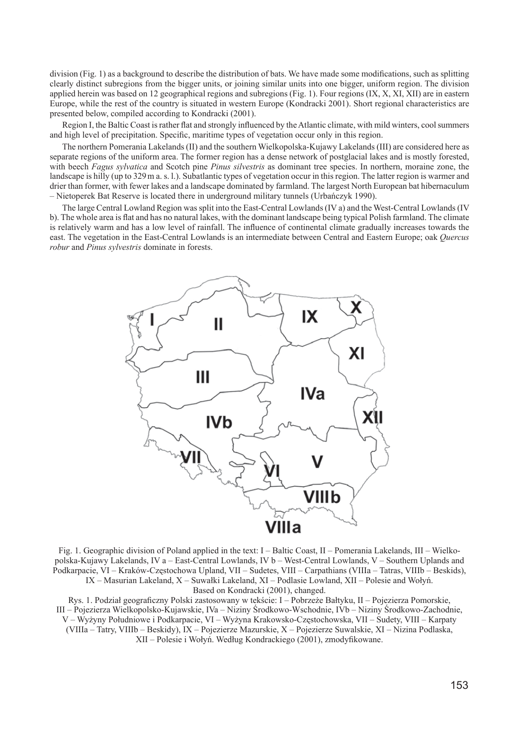division (Fig. 1) as a background to describe the distribution of bats. We have made some modifications, such as splitting clearly distinct subregions from the bigger units, or joining similar units into one bigger, uniform region. The division applied herein was based on 12 geographical regions and subregions (Fig. 1). Four regions (IX, X, XI, XII) are in eastern Europe, while the rest of the country is situated in western Europe (Kondracki 2001). Short regional characteristics are presented below, compiled according to Kondracki (2001).

Region I, the Baltic Coast is rather flat and strongly influenced by the Atlantic climate, with mild winters, cool summers and high level of precipitation. Specific, maritime types of vegetation occur only in this region.

The northern Pomerania Lakelands (II) and the southern Wielkopolska-Kujawy Lakelands (III) are considered here as separate regions of the uniform area. The former region has a dense network of postglacial lakes and is mostly forested, with beech *Fagus sylvatica* and Scotch pine *Pinus silvestris* as dominant tree species. In northern, moraine zone, the landscape is hilly (up to 329 m a. s. l.). Subatlantic types of vegetation occur in this region. The latter region is warmer and drier than former, with fewer lakes and a landscape dominated by farmland. The largest North European bat hibernaculum – Nietoperek Bat Reserve is located there in underground military tunnels (Urbańczyk 1990).

The large Central Lowland Region was split into the East-Central Lowlands (IV a) and the West-Central Lowlands (IV b). The whole area is flat and has no natural lakes, with the dominant landscape being typical Polish farmland. The climate is relatively warm and has a low level of rainfall. The influence of continental climate gradually increases towards the east. The vegetation in the East-Central Lowlands is an intermediate between Central and Eastern Europe; oak *Quercus robur* and *Pinus sylvestris* dominate in forests.



Fig. 1. Geographic division of Poland applied in the text:  $I -$ Baltic Coast,  $II -$ Pomerania Lakelands,  $III -$ Wielkopolska-Kujawy Lakelands, IV a – East-Central Lowlands, IV b – West-Central Lowlands, V – Southern Uplands and Podkarpacie, VI – Kraków-Częstochowa Upland, VII – Sudetes, VIII – Carpathians (VIIIa – Tatras, VIIIb – Beskids), IX – Masurian Lakeland, X – Suwałki Lakeland, XI – Podlasie Lowland, XII – Polesie and Wołyń. Based on Kondracki (2001), changed.

Rys. 1. Podział geograficzny Polski zastosowany w tekście: I – Pobrzeże Bałtyku, II – Pojezierza Pomorskie, III – Pojezierza Wielkopolsko-Kujawskie, IVa – Niziny Środkowo-Wschodnie, IVb – Niziny Środkowo-Zachodnie, V – Wyżyny Południowe i Podkarpacie, VI – Wyżyna Krakowsko-Częstochowska, VII – Sudety, VIII – Karpaty (VIIIa – Tatry, VIIIb – Beskidy), IX – Pojezierze Mazurskie, X – Pojezierze Suwalskie, XI – Nizina Podlaska, XII – Polesie i Wołyń. Według Kondrackiego (2001), zmodyfikowane.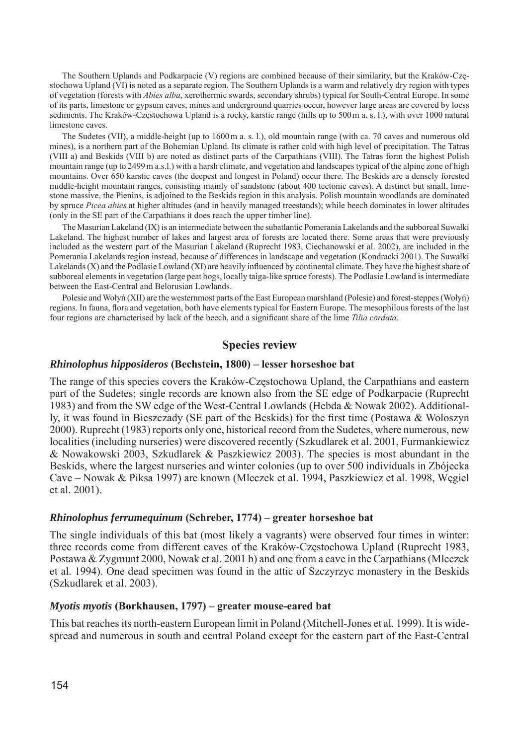The Southern Uplands and Podkarpacie (V) regions are combined because of their similarity, but the Kraków-Częstochowa Upland (VI) is noted as a separate region. The Southern Uplands is a warm and relatively dry region with types of vegetation (forests with *Abies alba*, xerothermic swards, secondary shrubs) typical for South-Central Europe. In some of its parts, limestone or gypsum caves, mines and underground quarries occur, however large areas are covered by loess sediments. The Kraków-Częstochowa Upland is a rocky, karstic range (hills up to 500 m a. s. l.), with over 1000 natural limestone caves.

The Sudetes (VII), a middle-height (up to 1600 m a. s. l.), old mountain range (with ca. 70 caves and numerous old mines), is a northern part of the Bohemian Upland. Its climate is rather cold with high level of precipitation. The Tatras (VIII a) and Beskids (VIII b) are noted as distinct parts of the Carpathians (VIII). The Tatras form the highest Polish mountain range (up to 2499 m a.s.l.) with a harsh climate, and vegetation and landscapes typical of the alpine zone of high mountains. Over 650 karstic caves (the deepest and longest in Poland) occur there. The Beskids are a densely forested middle-height mountain ranges, consisting mainly of sandstone (about 400 tectonic caves). A distinct but small, limestone massive, the Pienins, is adjoined to the Beskids region in this analysis. Polish mountain woodlands are dominated by spruce *Picea abies* at higher altitudes (and in heavily managed treestands); while beech dominates in lower altitudes (only in the SE part of the Carpathians it does reach the upper timber line).

The Masurian Lakeland (IX) is an intermediate between the subatlantic Pomerania Lakelands and the subboreal Suwałki Lakeland. The highest number of lakes and largest area of forests are located there. Some areas that were previously included as the western part of the Masurian Lakeland (Ruprecht 1983, Ciechanowski et al. 2002), are included in the Pomerania Lakelands region instead, because of differences in landscape and vegetation (Kondracki 2001). The Suwałki Lakelands  $(X)$  and the Podlasie Lowland  $(XI)$  are heavily influenced by continental climate. They have the highest share of subboreal elements in vegetation (large peat bogs, locally taiga-like spruce forests). The Podlasie Lowland is intermediate between the East-Central and Belorusian Lowlands.

Polesie and Wołyń (XII) are the westernmost parts of the East European marshland (Polesie) and forest-steppes (Wołyń) regions. In fauna, flora and vegetation, both have elements typical for Eastern Europe. The mesophilous forests of the last four regions are characterised by lack of the beech, and a significant share of the lime *Tilia cordata*.

#### **Species review**

#### *Rhinolophus hipposideros* **(Bechstein, 1800) – lesser horseshoe bat**

The range of this species covers the Kraków-Częstochowa Upland, the Carpathians and eastern part of the Sudetes; single records are known also from the SE edge of Podkarpacie (Ruprecht 1983) and from the SW edge of the West-Central Lowlands (Hebda  $\&$  Nowak 2002). Additionally, it was found in Bieszczady (SE part of the Beskids) for the first time (Postawa & Wołoszyn 2000). Ruprecht (1983) reports only one, historical record from the Sudetes, where numerous, new localities (including nurseries) were discovered recently (Szkudlarek et al. 2001, Furmankiewicz & Nowakowski 2003, Szkudlarek & Paszkiewicz 2003). The species is most abundant in the Beskids, where the largest nurseries and winter colonies (up to over 500 individuals in Zbójecka Cave – Nowak & Piksa 1997) are known (Mleczek et al. 1994, Paszkiewicz et al. 1998, Węgiel et al. 2001).

#### *Rhinolophus ferrumequinum* **(Schreber, 1774) – greater horseshoe bat**

The single individuals of this bat (most likely a vagrants) were observed four times in winter: three records come from different caves of the Kraków-Częstochowa Upland (Ruprecht 1983, Postawa & Zygmunt 2000, Nowak et al. 2001 b) and one from a cave in the Carpathians (Mleczek et al. 1994). One dead specimen was found in the attic of Szczyrzyc monastery in the Beskids (Szkudlarek et al. 2003).

#### *Myotis myotis* **(Borkhausen, 1797) – greater mouse-eared bat**

This bat reaches its north-eastern European limit in Poland (Mitchell-Jones et al. 1999). It is widespread and numerous in south and central Poland except for the eastern part of the East-Central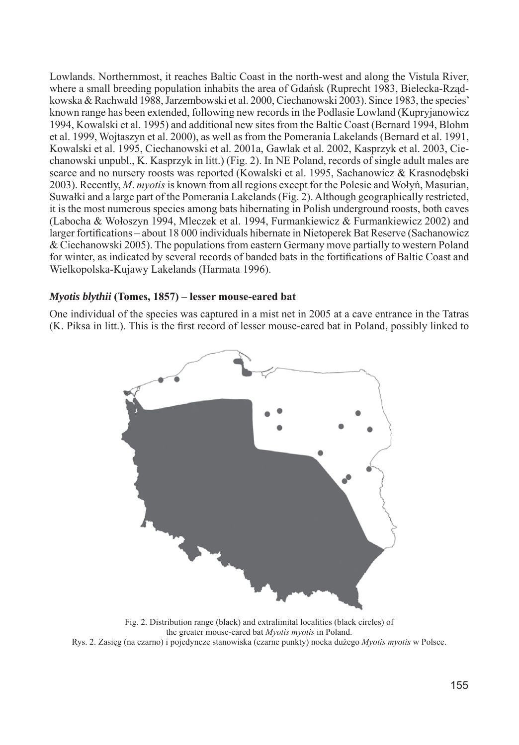Lowlands. Northernmost, it reaches Baltic Coast in the north-west and along the Vistula River, where a small breeding population inhabits the area of Gdańsk (Ruprecht 1983, Bielecka-Rządkowska & Rachwald 1988, Jarzembowski et al. 2000, Ciechanowski 2003). Since 1983, the species' known range has been extended, following new records in the Podlasie Lowland (Kupryjanowicz 1994, Kowalski et al. 1995) and additional new sites from the Baltic Coast (Bernard 1994, Blohm et al. 1999, Wojtaszyn et al. 2000), as well as from the Pomerania Lakelands (Bernard et al. 1991, Kowalski et al. 1995, Ciechanowski et al. 2001a, Gawlak et al. 2002, Kasprzyk et al. 2003, Ciechanowski unpubl., K. Kasprzyk in litt.) (Fig. 2). In NE Poland, records of single adult males are scarce and no nursery roosts was reported (Kowalski et al. 1995, Sachanowicz & Krasnodębski 2003). Recently, *M*. *myotis* is known from all regions ex cept for the Polesie and Wołyń, Masurian, Suwałki and a large part of the Pomerania Lake lands (Fig. 2). Although geographically restricted, it is the most numerous species among bats hibernating in Polish underground roosts, both caves (Labocha & Wołoszyn 1994, Mleczek et al. 1994, Furmankiewicz & Furmankiewicz 2002) and larger fortifications – about 18 000 individuals hibernate in Nietoperek Bat Reserve (Sachanowicz & Ciechanowski 2005). The populations from eastern Germany move partially to western Poland for winter, as indicated by several records of banded bats in the fortifications of Baltic Coast and Wielkopolska-Kujawy Lakelands (Harmata 1996).

#### *Myotis blythii* **(Tomes, 1857) – lesser mouse-eared bat**

One individual of the species was captured in a mist net in 2005 at a cave entrance in the Tatras (K. Piksa in litt.). This is the first record of lesser mouse-eared bat in Poland, possibly linked to



Fig. 2. Distribution range (black) and extralimital localities (black circles) of the greater mouse-eared bat *Myotis myotis* in Poland. Rys. 2. Zasięg (na czarno) i pojedyncze stanowiska (czarne punkty) nocka dużego *Myotis myotis* w Polsce.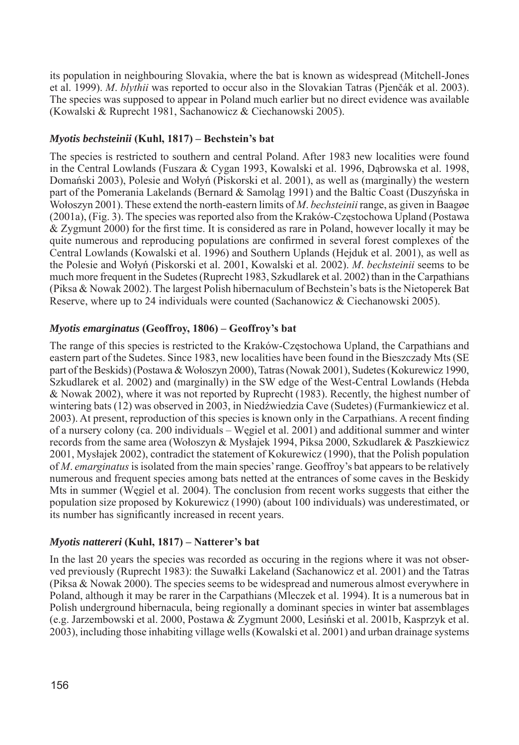its population in neighbouring Slovakia, where the bat is known as widespread (Mitchell-Jones et al. 1999). *M*. *blythii* was reported to occur also in the Slovakian Tatras (Pjenčák et al. 2003). The species was supposed to appear in Poland much earlier but no direct evidence was available (Kowalski & Ruprecht 1981, Sachanowicz & Ciechanowski 2005).

# *Myotis bechsteinii* **(Kuhl, 1817) – Bechstein's bat**

The species is restricted to southern and central Poland. After 1983 new localities were found in the Central Lowlands (Fuszara & Cygan 1993, Kowalski et al. 1996, Dąbrowska et al. 1998, Domański 2003), Polesie and Wołyń (Piskorski et al. 2001), as well as (marginally) the western part of the Pomerania Lakelands (Bernard & Samolag 1991) and the Baltic Coast (Duszyńska in Wołos zyn 2001). These extend the north-eastern limits of *M*. *bechsteinii* range, as given in Baagøe (2001a), (Fig. 3). The species was reported also from the Kraków-Częs to chowa Upland (Postawa) & Zygmunt 2000) for the fi rst time. It is considered as rare in Poland, however locally it may be quite numerous and reproducing populations are confirmed in several forest complexes of the Central Lowlands (Kowalski et al. 1996) and Southern Uplands (Hejduk et al. 2001), as well as the Polesie and Wołyń (Piskorski et al. 2001, Kowalski et al. 2002). *M*. *bechsteinii* seems to be much more frequent in the Sudetes (Ruprecht 1983, Szkudlarek et al. 2002) than in the Carpathians (Piksa & Nowak 2002). The largest Polish hibernaculum of Bechstein's bats is the Nietoperek Bat Reserve, where up to 24 individuals were counted (Sachanowicz & Ciechanowski 2005).

## *Myotis emarginatus* **(Geoffroy, 1806) – Geoffroy's bat**

The range of this species is restricted to the Kraków-Częstochowa Upland, the Carpathians and eastern part of the Sudetes. Since 1983, new localities have been found in the Bieszczady Mts (SE part of the Beskids) (Postawa & Wołoszyn 2000), Tatras (Nowak 2001), Sudetes (Kokurewicz 1990, Szkudlarek et al. 2002) and (marginally) in the SW edge of the West-Central Lowlands (Hebda & Nowak 2002), where it was not reported by Ruprecht (1983). Recently, the highest number of wintering bats (12) was observed in 2003, in Niedźwiedzia Cave (Sudetes) (Furmankiewicz et al. 2003). At present, reproduction of this species is known only in the Carpathians. A recent finding of a nursery colony (ca. 200 individuals – Węgiel et al. 2001) and additional summer and winter records from the same area (Wołoszyn & Mysłajek 1994, Piksa 2000, Szkudlarek & Paszkiewicz 2001, Mysłajek 2002), contradict the statement of Kokurewicz (1990), that the Polish population of *M*. *emarginatus* is isolated from the main species' range. Geoffroy's bat appears to be relatively numerous and frequent species among bats netted at the entrances of some caves in the Beskidy Mts in summer (Wegiel et al. 2004). The conclusion from recent works suggests that either the population size proposed by Kokurewicz (1990) (about 100 individuals) was underestimated, or its number has significantly increased in recent years.

# *Myotis nattereri* **(Kuhl, 1817) – Natterer's bat**

In the last 20 years the species was recorded as occuring in the regions where it was not observed previously (Ruprecht 1983): the Suwałki Lakeland (Sachanowicz et al. 2001) and the Tatras (Piksa & Nowak 2000). The species seems to be widespread and numerous almost everywhere in Po land, although it may be rarer in the Carpathians (Mleczek et al. 1994). It is a numerous bat in Polish underground hibernacula, being regionally a dominant species in winter bat assemblages (e.g. Jarzembowski et al. 2000, Postawa & Zygmunt 2000, Lesiński et al. 2001b, Kasprzyk et al. 2003), including those inhabiting village wells (Kowalski et al. 2001) and urban drainage systems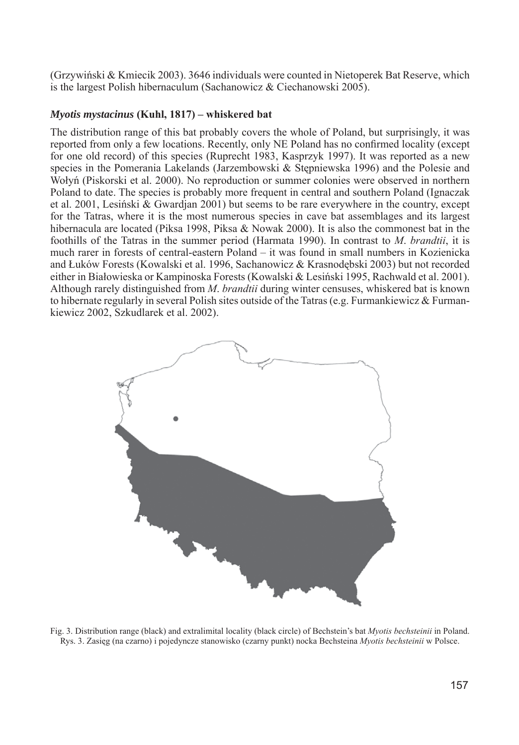(Grzywiński & Kmiecik 2003). 3646 individuals were counted in Nietoperek Bat Reserve, which is the largest Polish hibernaculum (Sachanowicz & Ciechanowski 2005).

#### *Myotis mystacinus* **(Kuhl, 1817) – whiskered bat**

The distribution range of this bat probably covers the whole of Poland, but surprisingly, it was reported from only a few locations. Recently, only NE Poland has no confirmed locality (except for one old record) of this species (Ruprecht 1983, Kasprzyk 1997). It was reported as a new species in the Pomerania Lakelands (Jarzembowski & Stępniewska 1996) and the Polesie and Wołyń (Piskorski et al. 2000). No reproduction or summer colonies were observed in northern Poland to date. The species is probably more frequent in central and southern Poland (Ignaczak et al. 2001, Lesiński & Gwardian 2001) but seems to be rare everywhere in the country, except for the Tatras, where it is the most numerous species in cave bat assemblages and its largest hibernacula are located (Piksa 1998, Piksa & Nowak 2000). It is also the commonest bat in the foothills of the Tatras in the summer period (Harmata 1990). In contrast to *M*. *brandtii*, it is much rarer in forests of central-eastern Poland – it was found in small numbers in Kozienicka and Łuków Forests (Kowalski et al. 1996, Sachanowicz & Krasnodębski 2003) but not recorded either in Białowieska or Kampinoska Forests (Kowalski & Lesiński 1995, Rachwald et al. 2001). Although rarely distinguished from *M*. *brandtii* during winter censuses, whiskered bat is known to hibernate regularly in several Polish sites outside of the Tatras (e.g. Furmankiewicz  $\&$  Furmankiewicz 2002, Szkudlarek et al. 2002).



Fig. 3. Distribution range (black) and extralimital locality (black circle) of Bechstein's bat *Myotis bechsteinii* in Poland. Rys. 3. Zasięg (na czarno) i pojedyncze stanowisko (czarny punkt) nocka Bechsteina *Myotis bechsteinii* w Polsce.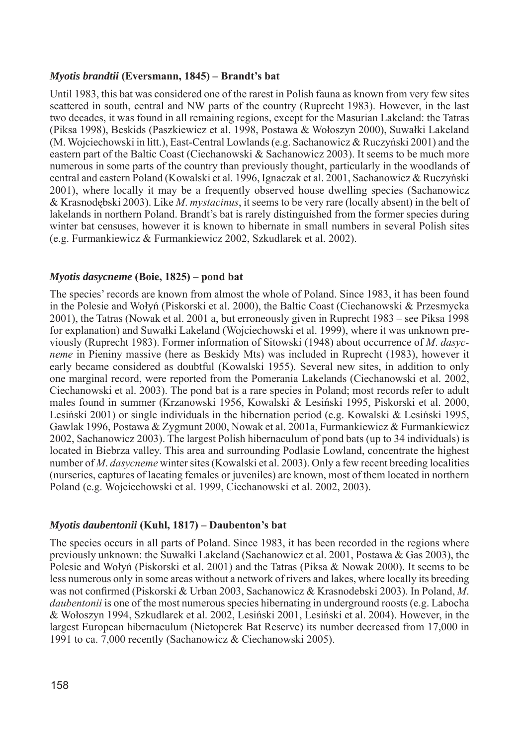## *Myotis brandtii* **(Eversmann, 1845) – Brandt's bat**

Until 1983, this bat was considered one of the rarest in Polish fauna as known from very few sites scattered in south, central and NW parts of the country (Ruprecht 1983). However, in the last two decades, it was found in all remaining regions, except for the Masurian Lakeland: the Tatras (Piksa 1998), Beskids (Paszkiewicz et al. 1998, Postawa & Wołoszyn 2000), Suwałki Lakeland (M. Wojciechowski in litt.), East-Central Lowlands (e.g. Sachanowicz & Ruczyński 2001) and the eastern part of the Baltic Coast (Ciechanowski & Sachanowicz 2003). It seems to be much more numerous in some parts of the country than previously thought, particularly in the woodlands of central and eastern Poland (Kowalski et al. 1996, Ignaczak et al. 2001, Sachanowicz & Ruczyński 2001), where locally it may be a frequently observed house dwelling species (Sachanowicz & Krasnodębski 2003). Like *M*. *mystacinus*, it seems to be very rare (lo cal ly absent) in the belt of lakelands in northern Poland. Brandt's bat is rarely distinguished from the former species during winter bat censuses, however it is known to hibernate in small numbers in several Polish sites  $(e.g., Furthermore, Ex. 2002, Ex. 2002)$  Eurmankiewicz 2002, Szkudlarek et al. 2002).

## *Myotis dasycneme* **(Boie, 1825) – pond bat**

The species' records are known from almost the whole of Poland. Since 1983, it has been found in the Polesie and Wołyń (Piskorski et al. 2000), the Baltic Coast (Ciechanowski & Przesmycka 2001), the Tatras (Nowak et al. 2001 a, but erroneously given in Ruprecht 1983 – see Piksa 1998 for explanation) and Suwałki Lakeland (Wojciechowski et al. 1999), where it was unknown previ ous ly (Ruprecht 1983). Former information of Sitowski (1948) about occurrence of *M*. *dasycneme* in Pieniny massive (here as Beskidy Mts) was included in Ruprecht (1983), however it early became considered as doubtful (Kowalski 1955). Several new sites, in addition to only one marginal record, were reported from the Pomerania Lakelands (Ciechanowski et al. 2002, Ciechanowski et al. 2003). The pond bat is a rare species in Poland; most records refer to adult males found in summer (Krzanowski 1956, Kowalski & Lesiński 1995, Piskorski et al. 2000, Lesiński 2001) or single individuals in the hibernation period (e.g. Kowalski & Lesiński 1995, Gawlak 1996, Postawa & Zygmunt 2000, Nowak et al. 2001a, Furmankiewicz & Furmankiewicz 2002, Sachanowicz 2003). The largest Polish hibernaculum of pond bats (up to 34 individuals) is located in Biebrza valley. This area and surrounding Podlasie Lowland, concentrate the highest number of *M. dasycneme* winter sites (Kowalski et al. 2003). Only a few recent breeding localities (nurseries, captures of lacating females or juveniles) are known, most of them located in northern Poland (e.g. Wojciechowski et al. 1999, Ciechanowski et al. 2002, 2003).

#### *Myotis daubentonii* **(Kuhl, 1817) – Daubenton's bat**

The species occurs in all parts of Poland. Since 1983, it has been recorded in the regions where previously unknown: the Suwałki Lakeland (Sachanowicz et al. 2001, Postawa & Gas 2003), the Polesie and Wołyń (Piskorski et al. 2001) and the Tatras (Piksa & Nowak 2000). It seems to be less numerous only in some areas without a network of rivers and lakes, where locally its breeding was not confirmed (Piskorski & Urban 2003, Sachanowicz & Krasnodebski 2003). In Poland, M. *daubentonii* is one of the most numerous species hibernating in underground roosts (e.g. Labocha & Wołoszyn 1994, Szkudlarek et al. 2002, Lesiński 2001, Lesiński et al. 2004). However, in the largest European hibernaculum (Nietoperek Bat Reserve) its number decreased from 17,000 in 1991 to ca. 7,000 recently (Sachanowicz & Ciechanowski 2005).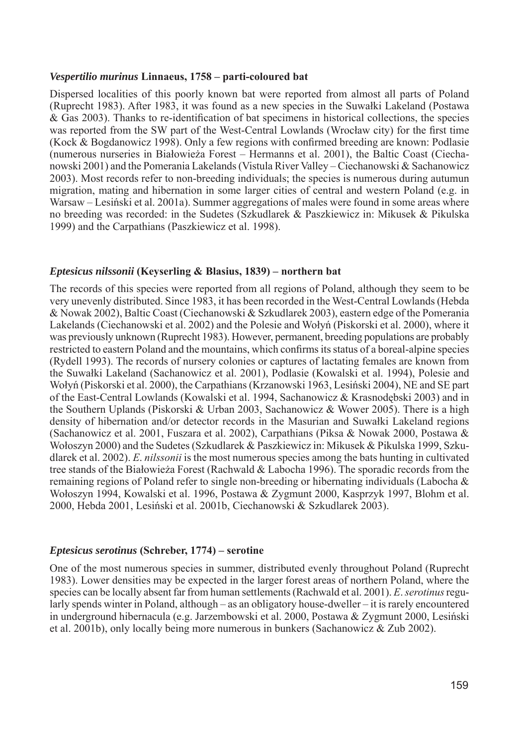#### *Vespertilio murinus* **Linnaeus, 1758 – parti-coloured bat**

Dispersed localities of this poorly known bat were reported from almost all parts of Poland (Ruprecht 1983). After 1983, it was found as a new species in the Suwałki Lakeland (Postawa  $\&$  Gas 2003). Thanks to re-identification of bat specimens in historical collections, the species was reported from the SW part of the West-Central Lowlands (Wrocław city) for the first time (Kock & Bogdanowicz 1998). Only a few regions with confirmed breeding are known: Podlasie (numerous nurseries in Białowieża Forest – Hermanns et al. 2001), the Baltic Coast (Ciechanowski 2001) and the Pomerania Lakelands (Vistula River Valley – Ciechanowski & Sachanowicz 2003). Most records refer to non-breeding individuals; the species is numerous during autumun migration, mating and hibernation in some larger cities of central and western Poland (e.g. in Warsaw – Lesiński et al. 2001a). Summer aggregations of males were found in some areas where no breeding was recorded: in the Sudetes (Szkudlarek & Paszkiewicz in: Mikusek & Pikulska 1999) and the Carpathians (Paszkiewicz et al. 1998).

## *Eptesicus nilssonii* **(Keyserling & Blasius, 1839) – northern bat**

The records of this species were reported from all regions of Poland, although they seem to be very unevenly distributed. Since 1983, it has been recorded in the West-Central Lowlands (Heb da & Nowak 2002), Baltic Coast (Ciechanowski & Szkudlarek 2003), eastern edge of the Pomerania Lakelands (Ciechanowski et al. 2002) and the Polesie and Wołyń (Piskorski et al. 2000), where it was previously unknown (Ruprecht 1983). However, permanent, breeding populations are probably restricted to eastern Poland and the mountains, which confirms its status of a boreal-alpine species (Rydell 1993). The records of nursery colonies or captures of lactating females are known from the Suwałki Lakeland (Sachanowicz et al. 2001), Podlasie (Kowalski et al. 1994), Polesie and Wołyń (Piskorski et al. 2000), the Carpathians (Krzanowski 1963, Le siński 2004), NE and SE part of the East-Central Lowlands (Kowalski et al. 1994, Sachanowicz & Krasnodębski 2003) and in the Southern Uplands (Piskorski & Urban 2003, Sachanowicz & Wower 2005). There is a high density of hibernation and/or detector records in the Masurian and Suwałki Lakeland regions (Sachanowicz et al. 2001, Fuszara et al. 2002), Carpathians (Piksa & Nowak 2000, Postawa & Wołoszyn 2000) and the Sudetes (Szkudlarek & Paszkiewicz in: Mikusek & Pikulska 1999, Szkudlarek et al. 2002). *E*. *nilssonii* is the most numerous species among the bats hunting in cultivated tree stands of the Białowieża Forest (Rachwald & Labocha 1996). The sporadic records from the remaining regions of Poland refer to single non-breeding or hibernating individuals (Labocha & Wołoszyn 1994, Kowalski et al. 1996, Postawa & Zygmunt 2000, Kasprzyk 1997, Blohm et al. 2000, Hebda 2001, Lesiński et al. 2001b, Ciechanowski & Szkudlarek 2003).

#### *Eptesicus serotinus* **(Schreber, 1774) – serotine**

One of the most numerous species in summer, distributed evenly throughout Poland (Ruprecht 1983). Lower densities may be expected in the larger forest areas of northern Poland, where the species can be locally absent far from human settlements (Rachwald et al. 2001). *E*. *serotinus* regularly spends winter in Poland, although – as an obligatory house-dweller – it is rarely encountered in underground hibernacula (e.g. Jarzembowski et al. 2000, Postawa & Zygmunt 2000, Lesiński et al. 2001b), only locally being more numerous in bunkers (Sachanowicz & Zub 2002).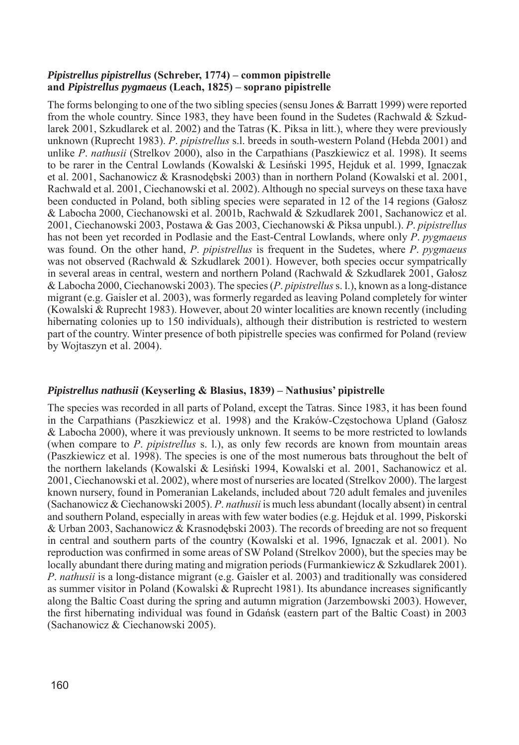## *Pipistrellus pipistrellus* **(Schreber, 1774) – common pipistrelle and** *Pipistrellus pygmaeus* **(Le ach, 1825) – soprano pipistrelle**

The forms belonging to one of the two sibling species (sensu Jones & Barratt 1999) were reported from the whole country. Since 1983, they have been found in the Sudetes (Rachwald & Szkudlarek 2001, Szkudlarek et al. 2002) and the Tatras (K. Piksa in litt.), where they were previously unknown (Ruprecht 1983). *P. pipistrellus* s.l. breeds in south-western Poland (Hebda 2001) and unlike *P*. *nathusii* (Strelkov 2000), also in the Carpathians (Paszkiewicz et al. 1998). It seems to be rarer in the Central Lowlands (Kowalski & Lesiński 1995, Hejduk et al. 1999, Ignaczak et al. 2001, Sachanowicz & Krasnodebski 2003) than in northern Poland (Kowalski et al. 2001, Rachwald et al. 2001, Ciechanowski et al. 2002). Although no special surveys on these taxa have been conducted in Poland, both sibling species were separated in 12 of the 14 regions (Gałosz & Labocha 2000, Ciechanowski et al. 2001b, Rachwald & Szkudlarek 2001, Sachanowicz et al. 2001, Ciechanowski 2003, Postawa & Gas 2003, Ciechanowski & Piksa unpubl.). *P*. *pipistrellus* has not been yet recorded in Podlasie and the East-Central Lowlands, where only *P*. *pygmaeus*  was found. On the other hand, *P*. *pipistrellus* is frequent in the Sudetes, where *P*. *pygmaeus*  was not observed (Rachwald & Szkudlarek 2001). However, both species occur sympatrically in several areas in central, western and northern Poland (Rachwald & Szkudlarek 2001, Gałosz & Labocha 2000, Ciechanowski 2003). The species (*P. pipistrellus* s. l.), known as a long-distance migrant (e.g. Gaisler et al. 2003), was formerly regarded as leaving Poland completely for winter (Kowalski & Ruprecht 1983). Howe ver, about 20 winter localities are known recently (including hibernating colonies up to 150 individuals), although their distribution is restricted to western part of the country. Winter presence of both pipistrelle species was confirmed for Poland (review by Wojtaszyn et al. 2004).

# *Pipistrellus nathusii* **(Keyserling & Blasius, 1839) – Nathusius' pipistrelle**

The species was recorded in all parts of Poland, except the Tatras. Since 1983, it has been found in the Carpathians (Paszkiewicz et al. 1998) and the Kraków-Częstochowa Upland (Gałosz & Labocha 2000), where it was previously unknown. It seems to be more restricted to lowlands (when compare to *P*. *pipistrellus* s. l.), as only few records are known from mountain areas (Paszkiewicz et al. 1998). The species is one of the most numerous bats throughout the belt of the northern lakelands (Kowalski & Lesiński 1994, Kowalski et al. 2001, Sachanowicz et al. 2001, Ciechanowski et al. 2002), where most of nurseries are located (Strelkov 2000). The largest known nursery, found in Pomeranian Lakelands, included about 720 adult females and juveniles (Sachanowicz & Ciechanowski 2005). *P. nathusii* is much less abundant (locally absent) in central and southern Poland, especially in areas with few water bodies (e.g. Hejduk et al. 1999, Piskorski & Urban 2003, Sachanowicz & Krasnodębski 2003). The records of breeding are not so frequent in central and southern parts of the country (Kowalski et al. 1996, Ignaczak et al. 2001). No reproduction was confirmed in some areas of SW Poland (Strelkov 2000), but the species may be locally abundant there during mating and migration periods (Furmankiewicz  $&$  Szkudlarek 2001). *P. nathusii* is a long-distance migrant (e.g. Gaisler et al. 2003) and traditionally was considered as summer visitor in Poland (Kowalski  $\&$  Ruprecht 1981). Its abundance increases significantly along the Baltic Coast during the spring and autumn migration (Jarzembowski 2003). However, the first hibernating individual was found in Gdańsk (eastern part of the Baltic Coast) in 2003 (Sachanowicz & Ciechanowski 2005).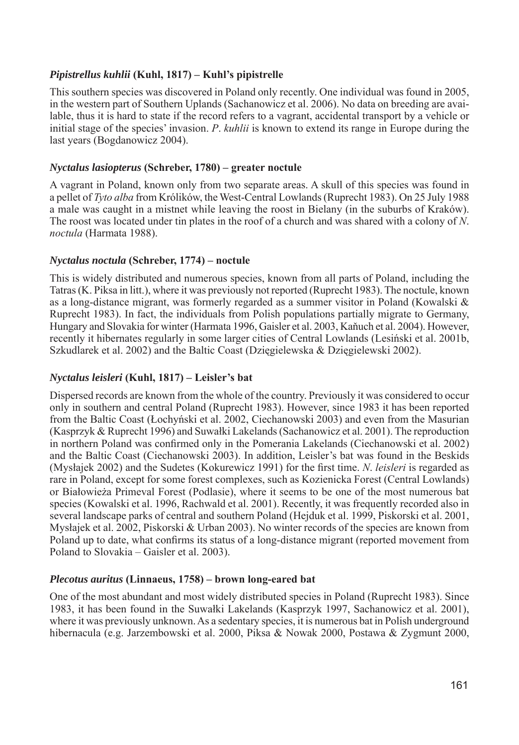## *Pipistrellus kuhlii* **(Kuhl, 1817) – Kuhl's pipistrelle**

This southern species was discovered in Poland only recently. One individual was found in 2005, in the western part of Southern Uplands (Sachanowicz et al. 2006). No data on breeding are available, thus it is hard to state if the record refers to a vagrant, accidental transport by a vehicle or initial stage of the species' invasion. *P*. *kuhlii* is known to extend its range in Europe during the last years (Bogdanowicz 2004).

### *Nyctalus lasiopterus* **(Schreber, 1780) – greater noctule**

A vagrant in Poland, known only from two separate areas. A skull of this species was found in a pellet of *Tyto alba* from Królików, the West-Central Lowlands (Ruprecht 1983). On 25 July 1988 a male was caught in a mistnet while leaving the roost in Bielany (in the suburbs of Kraków). The roost was located under tin plates in the roof of a church and was shared with a colony of *N*. *noctula* (Harmata 1988).

## *Nyctalus noctula* **(Schreber, 1774) – noctule**

This is widely distributed and numerous species, known from all parts of Poland, including the Tatras (K. Piksa in litt.), where it was previously not reported (Ruprecht 1983). The noctule, known as a long-distance migrant, was formerly regarded as a summer visitor in Poland (Kowalski  $\&$ Ruprecht 1983). In fact, the individuals from Polish populations partially migrate to Germany, Hungary and Slovakia for winter (Harmata 1996, Gaisler et al. 2003, Kaňuch et al. 2004). However, recently it hibernates regularly in some larger cities of Central Lowlands (Lesiński et al. 2001b, Szkudlarek et al. 2002) and the Baltic Coast (Dzięgielewska & Dzięgielewski 2002).

## *Nyctalus leisleri* **(Kuhl, 1817) – Leisler's bat**

Dispersed records are known from the whole of the country. Previously it was considered to occur only in southern and central Poland (Ruprecht 1983). However, since 1983 it has been reported from the Baltic Coast (Łochyński et al. 2002, Ciechanowski 2003) and even from the Masurian (Kasprzyk & Ruprecht 1996) and Suwałki Lakelands (Sachanowicz et al. 2001). The reproduction in northern Poland was confirmed only in the Pomerania Lakelands (Ciechanowski et al. 2002) and the Baltic Coast (Ciechanowski 2003). In addition, Leisler's bat was found in the Beskids (Mysłajek 2002) and the Sudetes (Kokurewicz 1991) for the first time. *N. leisleri* is regarded as rare in Poland, except for some forest complexes, such as Kozienicka Forest (Central Lowlands) or Białowieża Primeval Forest (Podlasie), where it seems to be one of the most numerous bat species (Kowalski et al. 1996, Rachwald et al. 2001). Recently, it was frequently recorded also in several landscape parks of central and southern Poland (Hejduk et al. 1999, Piskorski et al. 2001, Mysłajek et al. 2002, Piskorski & Urban 2003). No winter records of the species are known from Poland up to date, what confirms its status of a long-distance migrant (reported movement from Poland to Slovakia – Gaisler et al. 2003).

## *Plecotus auritus* **(Linnaeus, 1758) – brown long-eared bat**

One of the most abundant and most widely distributed species in Poland (Ruprecht 1983). Since 1983, it has been found in the Suwałki Lakelands (Kasprzyk 1997, Sachanowicz et al. 2001), where it was previously unknown. As a sedentary species, it is numerous bat in Polish underground hibernacula (e.g. Jarzembowski et al. 2000, Piksa & Nowak 2000, Postawa & Zygmunt 2000,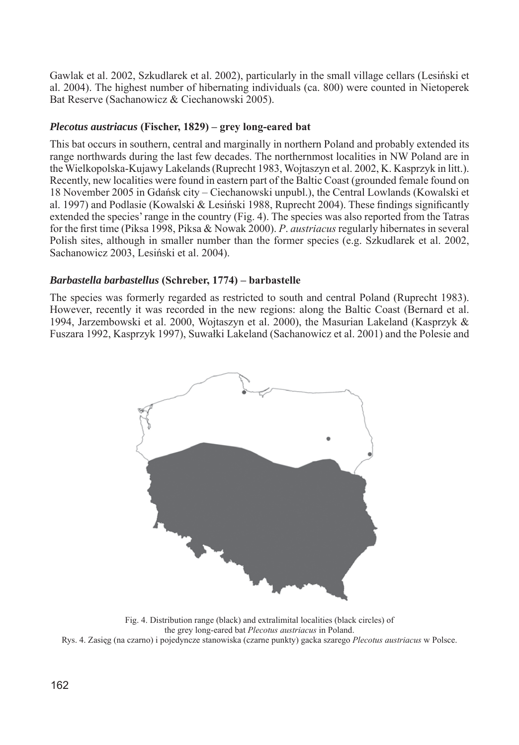Gawlak et al. 2002, Szkudlarek et al. 2002), particularly in the small village cellars (Lesiński et al. 2004). The highest number of hibernating individuals (ca. 800) were counted in Nietoperek Bat Reserve (Sachanowicz & Ciechanowski 2005).

## *Plecotus austriacus* **(Fischer, 1829) – grey long-eared bat**

This bat occurs in southern, central and marginally in northern Poland and probably extended its range northwards during the last few decades. The northernmost localities in NW Poland are in the Wielkopolska-Kujawy Lakelands (Ruprecht 1983, Wojtaszyn et al. 2002, K. Kasprzyk in litt.). Recently, new localities were found in eastern part of the Baltic Coast (grounded female found on 18 November 2005 in Gdańsk city – Ciechanowski unpubl.), the Central Lowlands (Kowalski et al. 1997) and Podlasie (Kowalski & Lesiński 1988, Ruprecht 2004). These findings significantly extended the species' range in the country (Fig. 4). The species was also reported from the Tatras for the first time (Piksa 1998, Piksa & Nowak 2000). *P. austriacus* regularly hibernates in several Polish sites, although in smaller number than the former species (e.g. Szkudlarek et al. 2002, Sachanowicz 2003, Lesiński et al. 2004).

#### *Barbastella barbastellus* **(Schreber, 1774) – barbastelle**

The species was formerly regarded as restricted to south and central Poland (Ruprecht 1983). However, recently it was recorded in the new regions: along the Baltic Coast (Bernard et al. 1994, Jarzembowski et al. 2000, Wojtaszyn et al. 2000), the Masurian Lakeland (Kasprzyk & Fuszara 1992, Kasprzyk 1997), Suwałki Lakeland (Sachanowicz et al. 2001) and the Polesie and



Fig. 4. Distribution range (black) and extralimital localities (black circles) of the grey long-eared bat *Plecotus austriacus* in Poland. Rys. 4. Zasięg (na czarno) i pojedyncze stanowiska (czarne punkty) gacka szarego *Plecotus austriacus* w Polsce.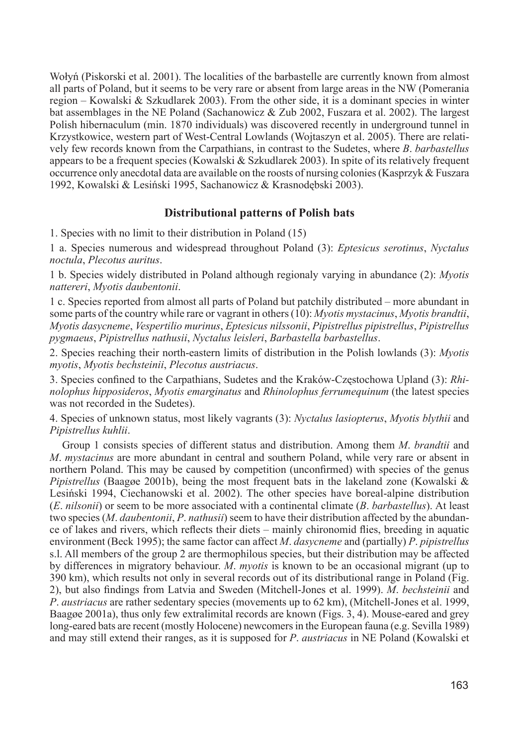Wołyń (Piskorski et al. 2001). The localities of the barbastelle are currently known from almost all parts of Poland, but it seems to be very rare or absent from large areas in the NW (Pomerania region – Kowalski & Szkudlarek 2003). From the other side, it is a dominant species in winter bat assemblages in the NE Poland (Sachanowicz & Zub 2002, Fuszara et al. 2002). The largest Polish hibernaculum (min. 1870 individuals) was discovered recently in underground tunnel in Krzystkowice, western part of West-Central Lowlands (Wojtaszyn et al. 2005). There are relatively few records known from the Carpathians, in contrast to the Sudetes, where *B*. *barbastellus* appears to be a frequent species (Kowalski & Szkudlarek 2003). In spite of its relatively frequent occurrence only anecdotal data are available on the roosts of nursing colonies (Kasprzyk & Fuszara 1992, Kowalski & Lesiński 1995, Sachanowicz & Krasnodębski 2003).

## **Distributional patterns of Polish bats**

1. Species with no limit to their distribution in Poland (15)

1 a. Species numerous and widespread throughout Poland (3): *Eptesicus serotinus*, *Nyctalus noctula*, *Plecotus auritus*.

1 b. Species widely distributed in Poland although regionaly varying in abundance (2): *Myotis nattereri*, *Myotis daubentonii*.

1 c. Species reported from almost all parts of Poland but patchily distributed – more abundant in some parts of the country while rare or vagrant in others (10): *Myotis mystacinus*, *Myotis brandtii*, *Myotis dasycneme*, *Vespertilio murinus*, *Eptesicus nils so nii*, *Pipistrellus pi pis t rel lus*, *Pi pis t rel lus pygmaeus*, *Pipistrellus nathusii*, *Nyctalus leis le ri*, *Barbastella bar bas tel lus*.

2. Species reaching their north-eastern limits of distribution in the Polish lowlands (3): *Myotis myotis*, *Myotis bechsteinii*, *Plecotus austriacus*.

3. Species confined to the Carpathians, Sudetes and the Kraków-Częstochowa Upland (3): *Rhinolophus hipposideros, Myotis emarginatus* and *Rhinolophus ferrumequinum* (the latest species was not recorded in the Sudetes).

4. Species of unknown status, most likely vagrants (3): *Nyctalus lasiopterus*, *Myotis blythii* and *Pipistrellus kuhlii*.

Group 1 consists species of different status and distribution. Among them *M*. *brandtii* and *M*. *mystacinus* are more abundant in central and southern Poland, while very rare or absent in nor thern Poland. This may be caused by competition (unconfirmed) with species of the genus *Pipistrellus* (Baagge 2001b), being the most frequent bats in the lakeland zone (Kowalski & Lesiński 1994, Ciechanowski et al. 2002). The other species have boreal-alpine distribution (*E*. *nilsonii*) or seem to be more associated with a continental climate (*B*. *barbastellus*). At least two species (*M. daubentonii, P. nathusii*) seem to have their distribution affected by the abundance of lakes and rivers, which reflects their diets – mainly chironomid flies, breeding in aquatic environment (Beck 1995); the same factor can affect *M*. *dasycneme* and (partially) *P*. *pipistrellus*  s.l. All members of the group 2 are thermophilous species, but their distribution may be affected by differences in migratory behaviour. *M. myotis* is known to be an occasional migrant (up to 390 km), which results not only in several records out of its distributional range in Poland (Fig. 2), but also findings from Latvia and Sweden (Mitchell-Jones et al. 1999). *M. bechsteinii* and *P. austriacus* are rather sedentary species (movements up to 62 km), (Mitchell-Jones et al. 1999, Baagøe 2001a), thus only few extralimital records are known (Figs. 3, 4). Mouse-eared and grey long-eared bats are recent (mostly Holocene) newcomers in the European fauna (e.g. Sevilla 1989) and may still extend their ranges, as it is supposed for *P*. *aus tri a cus* in NE Poland (Kowalski et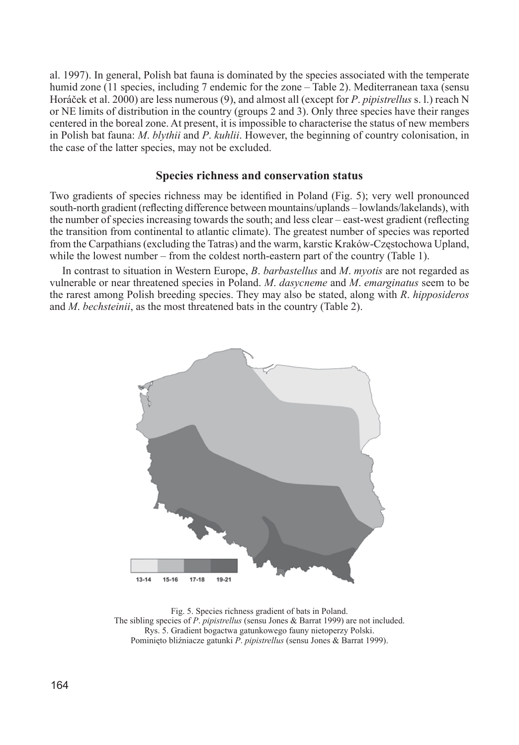al. 1997). In general, Polish bat fauna is dominated by the species associated with the temperate humid zone (11 species, including 7 endemic for the zone – Table 2). Mediterranean taxa (sensu Horáček et al. 2000) are less numerous (9), and almost all (except for *P*. *pipistrellus* s. l.) reach N or NE limits of distribution in the country (groups 2 and 3). Only three species have their ranges centered in the boreal zone. At present, it is impossible to characterise the status of new mem bers in Polish bat fauna: *M. blythii* and *P. kuhlii*. However, the beginning of country colonisation, in the case of the latter species, may not be excluded.

#### **Species richness and conservation status**

Two gradients of species richness may be identified in Poland (Fig. 5); very well pronounced south-north gradient (reflecting difference between mountains/uplands – lowlands/lakelands), with the number of species increasing towards the south; and less clear – east-west gradient (reflecting the transition from continental to atlantic climate). The greatest number of species was reported from the Carpathians (excluding the Tatras) and the warm, karstic Kraków-Częstochowa Upland, while the lowest number – from the coldest north-eastern part of the country (Table 1).

In contrast to situation in Western Europe, *B*. *barbastellus* and *M*. *myotis* are not regarded as vulnerable or near threatened species in Poland. *M*. *dasycneme* and *M*. *emarginatus* seem to be the rarest among Polish breeding species. They may also be stated, along with *R*. *hipposideros* and *M*. *bechsteinii*, as the most threatened bats in the country (Table 2).



Fig. 5. Species richness gradient of bats in Poland. The sibling species of *P*. *pipistrellus* (sensu Jones & Barrat 1999) are not included. Rys. 5. Gradient bogactwa gatunkowego fauny nietoperzy Polski. Pominięto bliźniacze gatunki *P*. *pipistrellus* (sensu Jones & Barrat 1999).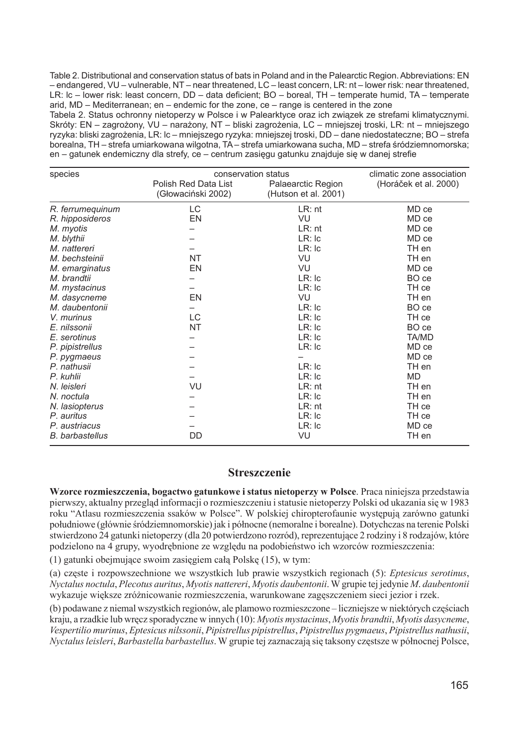Table 2. Distributional and conservation status of bats in Poland and in the Palearctic Region. Abbreviations: EN – endangered, VU – vulnerable, NT – near threatened, LC – least concern, LR: nt – lower risk: near threatened, LR: Ic – lower risk: least concern, DD – data deficient; BO – boreal, TH – temperate humid, TA – temperate arid, MD – Mediterranean; en – endemic for the zone, ce – range is centered in the zone

Tabela 2. Status ochronny nietoperzy w Polsce i w Palearktyce oraz ich związek ze strefami klimatycznymi. Skróty: EN – zagrożony, VU – narażony, NT – bliski zagrożenia, LC – mniejszej troski, LR: nt – mniejszego ryzyka: bliski zagrożenia, LR: lc – mniejszego ryzyka: mniejszej troski, DD – dane niedostateczne; BO – strefa borealna, TH – strefa umiarkowana wilgotna, TA – strefa umiarkowana sucha, MD – strefa śródziemnomorska; en – gatunek endemiczny dla strefy, ce – centrum zasięgu gatunku znajduje się w danej strefie

| species                | conservation status  | climatic zone association |                       |  |
|------------------------|----------------------|---------------------------|-----------------------|--|
|                        | Polish Red Data List | Palaearctic Region        | (Horáček et al. 2000) |  |
|                        | (Głowaciński 2002)   | (Hutson et al. 2001)      |                       |  |
| R. ferrumequinum       | LC                   | $LR:$ nt                  | MD ce                 |  |
| R. hipposideros        | EN                   | VU                        | MD ce                 |  |
| M. myotis              |                      | $LR:$ nt                  | MD ce                 |  |
| M. blythii             |                      | $LR:$ Ic                  | MD ce                 |  |
| M. nattereri           |                      | LR:lc                     | TH en                 |  |
| M. bechsteinii         | <b>NT</b>            | VU                        | TH en                 |  |
| M. emarginatus         | EN                   | VU                        | MD ce                 |  |
| M. brandtii            |                      | $LR:$ Ic                  | BO ce                 |  |
| M. mystacinus          |                      | $LR:$ Ic                  | TH ce                 |  |
| M. dasycneme           | EN                   | VU                        | TH en                 |  |
| M. daubentonii         |                      | $LR:$ Ic                  | BO ce                 |  |
| V. murinus             | LC                   | $LR:$ Ic                  | TH ce                 |  |
| E. nilssonii           | <b>NT</b>            | $LR:$ Ic                  | BO ce                 |  |
| E. serotinus           |                      | $LR:$ Ic                  | TA/MD                 |  |
| P. pipistrellus        |                      | $LR:$ Ic                  | MD ce                 |  |
| P. pygmaeus            |                      |                           | MD ce                 |  |
| P. nathusii            |                      | $LR:$ Ic                  | TH en                 |  |
| P. kuhlii              |                      | $LR:$ Ic                  | <b>MD</b>             |  |
| N. leisleri            | VU                   | $LR:$ nt                  | TH en                 |  |
| N. noctula             |                      | $LR:$ Ic                  | TH en                 |  |
| N. lasiopterus         |                      | $LR:$ nt                  | TH ce                 |  |
| P. auritus             |                      | $LR:$ Ic                  | TH ce                 |  |
| P. austriacus          |                      | $LR:$ Ic                  | MD ce                 |  |
| <b>B.</b> barbastellus | DD                   | VU                        | TH en                 |  |

#### **Streszczenie**

Wzorce rozmieszczenia, bogactwo gatunkowe i status nietoperzy w Polsce. Praca niniejsza przedstawia pierwszy, aktualny przegląd informacji o rozmieszczeniu i statusie nietoperzy Polski od ukazania się w 1983 roku "Atlasu rozmieszczenia ssaków w Polsce". W polskiej chiropterofaunie występują zarówno gatunki połud ni owe (głównie śródziemnomorskie) jak i północne (nemoralne i borealne). Dotychczas na terenie Polski stwierd zo no 24 gatunki nietoperzy (dla 20 potwierdzono rozród), reprezentujące 2 rodziny i 8 rodzajów, które podzielono na 4 grupy, wyodrębnione ze względu na podobieństwo ich wzorców rozmieszczenia:

(1) gatunki obejmujące swoim zasięgiem całą Polskę (15), w tym:

(a) częste i rozpowszechnione we wszystkich lub prawie wszystkich regionach (5): *Eptesicus serotinus*, *Nycta lus noctula*, *Plecotus auritus*, *Myotis nat te re ri*, *Myotis daubentonii*. W grupie tej jedynie *M*. *daubentonii* wykazuje większe zróżnicowanie rozmieszczenia, warunkowane zagęszczeniem sięci jezior i rzek.

(b) podawane z niemal wszystkich regionów, ale plamowo rozmieszczone – liczniejsze w niektórych cześciach kraju, a rzadkie lub wręcz sporadyczne w innych (10): *Myotis mystacinus*, *Myotis brandtii*, *Myotis dasycneme*, *Ve sper ti lio murinus*, *Eptesicus nilssonii*, *Pipistrellus pipistrellus*, *Pipistrellus pygmaeus*, *Pi pis t rel lus na thu sii*, *Nyctalus leisleri, Barbastella barbastellus*. W grupie tej zaznaczają się taksony częstsze w północnej Polsce,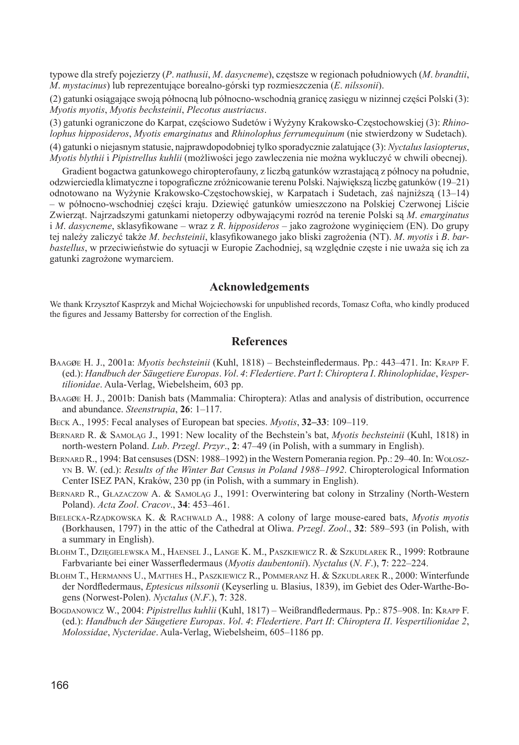typowe dla strefy pojezierzy (*P. nathusii, M. dasycneme*), częstsze w regionach południowych (*M. brandtii*, *M*. *mystacinus*) lub reprezentujące borealno-górski typ rozmieszczenia (*E*. *nilssonii*).

(2) gatunki osiągające swoją północną lub północno-wschodnią granicę zasięgu w nizinnej części Polski (3): *Myotis myotis*, *Myotis bechsteinii*, *Plecotus austriacus*.

(3) gatunki ograniczone do Karpat, częściowo Su de tów i Wyżyny Krakowsko-Częstochowskiej (3): *Rhi nolophus hipposideros, Myotis emarginatus* and *Rhinolophus ferrumequinum* (nie stwierdzony w Sudetach).

(4) gatunki o niejasnym statusie, najprawdopodobniej tylko sporadycznie zalatujące (3): *Nyctalus la si op te rus*, *Myotis blythii* i *Pipistrellus kuhlii* (możliwości jego zawleczenia nie można wykluczyć w chwili obecnej).

Gradient bogactwa gatunkowego chiropterofauny, z liczbą gatunków wzrastającą z północy na południe, odzwierciedla klimatyczne i topograficzne zróżnicowanie terenu Polski. Największą liczbę gatunków (19–21) odnotowano na Wyżynie Krakowsko-Częstochowskiej, w Karpatach i Sudetach, zaś najniższą (13–14) – w północno-wschodniej części kraju. Dziewięć gatunków umieszczono na Polskiej Czerwonej Liście Zwierząt. Najrzadszymi gatunkami nietoperzy odbywającymi rozród na terenie Polski są *M*. *emarginatus*  i *M. dasycneme*, sklasyfikowane – wraz z *R. hipposideros* – jako zagrożone wyginięciem (EN). Do grupy tej należy zaliczyć także *M. bechsteinii*, klasyfikowanego jako bliski zagrożenia (NT). *M. myotis* i *B. barbastellus*, w przeciwieństwie do sytuacji w Europie Zachodniej, są względnie częste i nie uważa się ich za gatunki zagrożone wymarciem.

#### **Acknowledgements**

We thank Krzysztof Kasprzyk and Michał Wojciechowski for unpublished records, Tomasz Cofta, who kindly produced the figures and Jessamy Battersby for correction of the English.

#### **References**

- BAAGØE H. J., 2001a: *Myotis bechsteinii* (Kuhl, 1818) Bechsteinfledermaus. Pp.: 443–471. In: KRAPP F. (ed.): *Handbuch der Säugetiere Europas*. *Vol*. *4*: *Fledertiere*. *Part I*: *Chiroptera I*. *Rhinolophidae*, *Ve sperti li o ni dae*. Aula-Verlag, Wiebelsheim, 603 pp.
- BAAGøE H. J., 2001b: Danish bats (Mammalia: Chiroptera): Atlas and analysis of distribution, occurrence and abundance. *Steenstrupia*, **26**: 1–117.
- BECK A., 1995: Fecal analyses of European bat species. *Myotis*, **32–33**: 109–119.
- BERNARD R. & SAMOLĄG J., 1991: New locality of the Bechstein's bat, *Myotis bechsteinii* (Kuhl, 1818) in north-western Poland. *Lub*. *Przegl*. *Przyr*., **2**: 47–49 (in Polish, with a summary in English).
- BERNARD R., 1994: Bat censuses (DSN: 1988–1992) in the Western Pomerania region. Pp.: 29–40. In: WOŁOSZ-YN B. W. (ed.): *Results of the Winter Bat Census in Poland 1988–1992*. Chiropterological Information Center ISEZ PAN, Kraków, 230 pp (in Polish, with a summary in English).
- BERNARD R., GŁAZACZOW A. & SAMOLĄG J., 1991: Overwintering bat colony in Strzaliny (North-Western Po land). *Acta Zool*. *Cracov*., **34**: 453–461.
- BIELECKA-RZĄDKOWSKA K. & RACHWALD A., 1988: A colony of large mouse-eared bats, *Myotis myotis*  (Borkhau sen, 1797) in the attic of the Cathedral at Oliwa. *Przegl*. *Zool*., **32**: 589–593 (in Polish, with a summary in English).
- BLOHM T., DZIĘGIELEWSKA M., HAENSEL J., LANGE K. M., PASZKIEWICZ R. & SZKUDLAREK R., 1999: Rotbraune Farbvariante bei einer Wasserfl edermaus (*Myotis daubentonii*). *Nyctalus* (*N*. *F*.), **7**: 222–224.
- BLOHM T., HERMANNS U., MATTHES H., PASZKIEWICZ R., POMMERANZ H. & SZKUDLAREK R., 2000: Winterfunde der Nordfl edermaus, *Eptesicus nilssonii* (Keyserling u. Blasius, 1839), im Gebiet des Oder-Warthe-Bogens (Norwest-Polen). *Nyctalus* (*N*.*F*.), **7**: 328.
- BOGDANOWICZ W., 2004: *Pipistrellus kuhlii* (Kuhl, 1817) Weißrandfledermaus. Pp.: 875–908. In: KRAPP F. (ed.): *Handbuch der Säugetiere Europas*. *Vol*. *4*: *Fledertiere*. *Part II*: *Chiroptera II*. *Vespertilionidae 2*, *Molossidae*, *Nycteridae*. Aula-Verlag, Wiebelsheim, 605–1186 pp.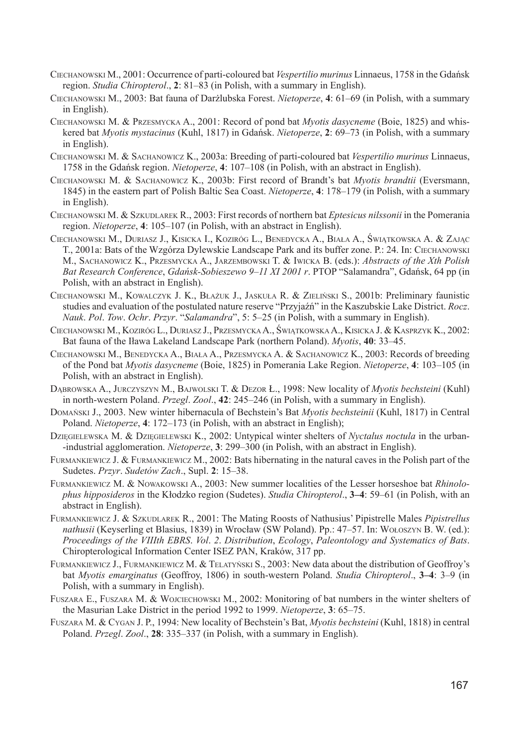- CIECHANOWSKI M., 2001: Occurrence of parti-coloured bat *Vespertilio murinus* Linnaeus, 1758 in the Gdańsk region. *Studia Chiropterol*., **2**: 81–83 (in Polish, with a summary in English).
- CIECHANOWSKI M., 2003: Bat fauna of Darżlubska Forest. *Nietoperze*, **4**: 61–69 (in Polish, with a summary in English).
- CIECHANOWSKI M. & PRZESMYCKA A., 2001: Record of pond bat *Myotis dasycneme* (Boie, 1825) and whiskered bat *Myotis mystacinus* (Kuhl, 1817) in Gdańsk. *Nietoperze*, **2**: 69–73 (in Polish, with a summary in English).
- CIECHANOWSKI M. & SACHANOWICZ K., 2003a: Breeding of parti-coloured bat *Vespertilio murinus* Linnaeus, 1758 in the Gdańsk region. *Nietoperze*, **4**: 107–108 (in Polish, with an abstract in English).
- CIECHANOWSKI M. & SACHANOWICZ K., 2003b: First record of Brandt's bat *Myotis brandtii* (Eversmann, 1845) in the eastern part of Polish Baltic Sea Coast. *Nietoperze*, **4**: 178–179 (in Polish, with a summary in English).
- CIECHANOWSKI M. & SZKUDLAREK R., 2003: First records of northern bat *Eptesicus nilssonii* in the Pomerania region. *Nietoperze*, **4**: 105–107 (in Polish, with an abstract in English).
- CIECHANOWSKI M., DURIASZ J., KISICKA I., KOZIRÓG L., BENEDYCKA A., BIAŁA A., ŚWIĄTKOWSKA A. & ZAJĄ<sup>C</sup> T., 2001a: Bats of the Wzgórza Dylewskie Landscape Park and its buffer zone. P.: 24. In: CIECHANOWSKI M., SACHANOWICZ K., PRZESMYCKA A., JARZEMBOWSKI T. & IWICKA B. (eds.): *Abstracts of the Xth Polish Bat Research Conference*, *Gdańsk-Sobieszewo 9–11 XI 2001 r*. PTOP "Salamandra", Gdańsk, 64 pp (in Polish, with an abstract in English).
- CIECHANOWSKI M., KOWALCZYK J. K., BŁAŻUK J., JASKUŁA R. & ZIELIŃSKI S., 2001b: Preliminary faunistic studies and evaluation of the postulated nature reserve "Przyjaźń" in the Kaszubskie Lake District. *Rocz*. *Nauk*. *Pol*. *Tow*. *Ochr*. *Przyr*. "*Salamandra*", 5: 5–25 (in Polish, with a summary in English).
- CIECHANOWSKI M., KOZIRÓG L., DURIASZ J., PRZESMYCKA A., ŚWIĄTKOWSKA A., KISICKA J. & KASPRZYK K., 2002: Bat fauna of the Iława Lakeland Landscape Park (northern Poland). *Myotis*, **40**: 33–45.
- CIECHANOWSKI M., BENEDYCKA A., BIAŁA A., PRZESMYCKA A. & SACHANOWICZ K., 2003: Records of breeding of the Pond bat *Myotis dasycneme* (Boie, 1825) in Pomerania Lake Region. *Nietoperze*, **4**: 103–105 (in Polish, with an abstract in English).
- DĄBROWSKA A., JURCZYSZYN M., BAJWOLSKI T. & DEZOR Ł., 1998: New locality of *Myotis bechsteini* (Kuhl) in north-western Poland. *Przegl*. *Zool*., **42**: 245–246 (in Polish, with a summary in English).
- DOMAŃSKI J., 2003. New winter hibernacula of Bechstein's Bat *Myotis bechsteinii* (Kuhl, 1817) in Central Poland. *Nietoperze*, **4**: 172–173 (in Polish, with an abstract in English);
- DZIĘGIELEWSKA M. & DZIĘGIELEWSKI K., 2002: Untypical winter shelters of *Nyctalus noctula* in the urban- -industrial agglomeration. *Nietoperze*, **3**: 299–300 (in Polish, with an abstract in English).
- FURMANKIEWICZ J. & FURMANKIEWICZ M., 2002: Bats hibernating in the natural caves in the Polish part of the Sudetes. *Przyr*. *Sudetów Zach*., Supl. **2**: 15–38.
- FURMANKIEWICZ M. & NOWAKOWSKI A., 2003: New summer localities of the Lesser horseshoe bat *Rhinolophus hipposideros* in the Kłodzko region (Sudetes). *Studia Chiropterol*., **3–4**: 59–61 (in Polish, with an abstract in English).
- FURMANKIEWICZ J. & SZKUDLAREK R., 2001: The Mating Roosts of Nathusius' Pipistrelle Males *Pipistrellus nathusii* (Keyserling et Blasius, 1839) in Wrocław (SW Poland). Pp.: 47–57. In: WOŁOSZYN B. W. (ed.): *Proceedings of the VIIIth EBRS*. *Vol*. *2*. *Distribution*, *Ecology*, *Paleontology and Systematics of Bats*. Chiropterological Information Center ISEZ PAN, Kraków, 317 pp.
- FURMANKIEWICZ J., FURMANKIEWICZ M. & TELATYŃSKI S., 2003: New data about the distribution of Geoffroy's bat *Myotis emarginatus* (Geoffroy, 1806) in south-western Poland. *Studia Chiropterol*., **3–4**: 3–9 (in Polish, with a summary in English).
- FUSZARA E., FUSZARA M. & WOJCIECHOWSKI M., 2002: Monitoring of bat numbers in the winter shelters of the Masurian Lake District in the period 1992 to 1999. *Nietoperze*, **3**: 65–75.
- FUSZARA M. & CYGAN J. P., 1994: New locality of Bechstein's Bat, *Myotis bechsteini* (Kuhl, 1818) in central Poland. *Przegl*. *Zool*., **28**: 335–337 (in Polish, with a summary in English).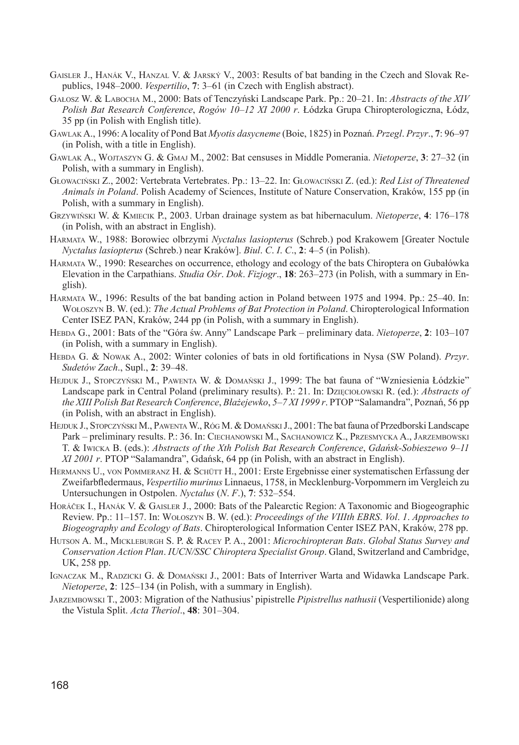- GAISLER J., HANÁK V., HANZAL V. & JARSKÝ V., 2003: Results of bat banding in the Czech and Slovak Republics, 1948–2000. *Vespertilio*, **7**: 3–61 (in Czech with English abstract).
- GAŁOSZ W. & LABOCHA M., 2000: Bats of Tenczyński Landscape Park. Pp.: 20–21. In: *Abs tracts of the XIV Polish Bat Research Conference*, *Rogów 10–12 XI 2000 r*. Łódzka Grupa Chiropterologiczna, Łódz, 35 pp (in Polish with English title).
- GAWLAK A., 1996: A locality of Pond Bat *Myotis dasycneme* (Boie, 1825) in Poznań. *Przegl*. *Przyr*., **7**: 96–97 (in Polish, with a title in English).
- GAWLAK A., WOJTASZYN G. & GMAJ M., 2002: Bat censuses in Middle Pomerania. *Nietoperze*, **3**: 27–32 (in Polish, with a summary in English).
- GŁOWACIŃSKI Z., 2002: Vertebrata Vertebrates. Pp.: 13–22. In: GŁOWACIŃSKI Z. (ed.): *Red List of Threatened Animals in Poland*. Polish Academy of Sciences, Institute of Nature Conservation, Kraków, 155 pp (in Polish, with a summary in English).
- GRZYWIŃSKI W. & KMIECIK P., 2003. Urban drainage system as bat hibernaculum. *Nietoperze*, **4**: 176–178 (in Polish, with an abstract in English).
- HARMATA W., 1988: Borowiec olbrzymi *Nyctalus lasiopterus* (Schreb.) pod Krakowem [Greater Noctule *Nycta lus lasiopterus* (Schreb.) near Kraków]. *Biul*. *C*. *I*. *C*., **2**: 4–5 (in Polish).
- HARMATA W., 1990: Researches on occurrence, ethology and ecology of the bats Chiroptera on Gubałówka Elevation in the Carpathians. *Studia Ośr*. *Dok*. *Fizjogr*., **18**: 263–273 (in Polish, with a summary in English).
- HARMATA W., 1996: Results of the bat banding action in Poland between 1975 and 1994. Pp.: 25–40. In: WOŁOSZYN B. W. (ed.): *The Actual Problems of Bat Protection in Poland*. Chiropterological Information Center ISEZ PAN, Kraków, 244 pp (in Polish, with a summary in English).
- HEBDA G., 2001: Bats of the "Góra św. Anny" Landscape Park preliminary data. *Nietoperze*, **2**: 103–107 (in Polish, with a summary in English).
- HEBDA G. & NOWAK A., 2002: Winter colonies of bats in old fortifications in Nysa (SW Poland). *Przyr. Sudetów Zach*., Supl., **2**: 39–48.
- HEJDUK J., STOPCZYŃSKI M., PAWENTA W. & DOMAŃSKI J., 1999: The bat fauna of "Wzniesienia Łódzkie" Landscape park in Central Poland (preliminary results). P.: 21. In: DZIĘCIOŁOWSKI R. (ed.): *Abstracts of the XIII Polish Bat Research Conference*, *Błażejewko*, *5–7 XI 1999 r*. PTOP "Salamandra", Poznań, 56 pp (in Polish, with an abstract in English).
- HEJDUK J., STOPCZYŃSKI M., PAWENTA W., RÓG M. & DOMAŃSKI J., 2001: The bat fauna of Przedborski Landscape Park – preliminary results. P.: 36. In: CIECHANOWSKI M., SACHANOWICZ K., PRZESMYCKA A., JARZEMBOWSKI T. & IWICKA B. (eds.): *Abstracts of the Xth Polish Bat Research Conference*, *Gdańsk-Sobieszewo 9–11 XI 2001 r*. PTOP "Salamandra", Gdańsk, 64 pp (in Polish, with an abstract in English).
- HERMANNS U., VON POMMERANZ H. & SCHÜTT H., 2001: Erste Ergebnisse einer systematischen Erfassung der Zweifarbfl edermaus, *Vespertilio murinus* Linnaeus, 1758, in Mecklenburg-Vorpommern im Vergleich zu Untersuchungen in Ostpolen. *Nyctalus* (*N*. *F*.), **7**: 532–554.
- HORÁČEK I., HANÁK V. & GAISLER J., 2000: Bats of the Palearctic Region: A Taxonomic and Biogeographic Review. Pp.: 11–157. In: WOŁOSZYN B. W. (ed.): *Proceedings of the VIIIth EBRS*. *Vol*. *1*. *Approaches to Biogeography and Ecology of Bats*. Chiropterological Information Center ISEZ PAN, Kraków, 278 pp.
- HUTSON A. M., MICKLEBURGH S. P. & RACEY P. A., 2001: *Microchiropteran Bats*. *Global Status Survey and Conservation Action Plan*. *IUCN/SSC Chiroptera Specialist Group*. Gland, Switzerland and Cambridge, UK, 258 pp.
- IGNACZAK M., RADZICKI G. & DOMAŃSKI J., 2001: Bats of Interriver Warta and Widawka Landscape Park. *Nietoperze*, **2**: 125–134 (in Polish, with a summary in English).
- JARZEMBOWSKI T., 2003: Migration of the Nathusius' pipistrelle *Pipistrellus nathusii* (Vespertilionide) along the Vistula Split. *Acta Theriol*., **48**: 301–304.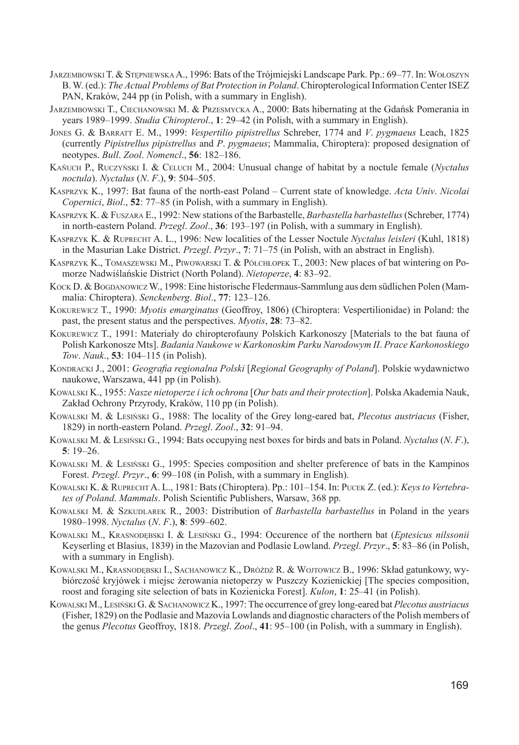- JARZEMBOWSKI T. & STĘPNIEWSKA A., 1996: Bats of the Trójmiejski Landscape Park. Pp.: 69–77. In: WOŁOSZYN B. W. (ed.): *The Actual Problems of Bat Protection in Poland*. Chiropterological Information Center ISEZ PAN, Kraków, 244 pp (in Polish, with a summary in English).
- JARZEMBOWSKI T., CIECHANOWSKI M. & PRZESMYCKA A., 2000: Bats hibernating at the Gdańsk Pomerania in years 1989–1999. *Studia Chiropterol*., **1**: 29–42 (in Polish, with a summary in English).
- JONES G. & BARRATT E. M., 1999: *Vespertilio pipistrellus* Schreber, 1774 and *V*. *pygmaeus* Leach, 1825 (currently *Pipistrellus pipistrellus* and *P*. *pygmaeus*; Mammalia, Chiroptera): proposed designation of ne o typ es. *Bull*. *Zool*. *Nomencl*., **56**: 182–186.
- KAŇUCH P., RUCZYŃSKI I. & CELUCH M., 2004: Unusual change of habitat by a noctule female (*Nyctalus noctu la*). *Nyctalus* (*N*. *F*.), **9**: 504–505.
- KASPRZYK K., 1997: Bat fauna of the north-east Poland Current state of knowledge. *Acta Univ*. *Nicolai Copernici*, *Biol*., **52**: 77–85 (in Polish, with a summary in English).
- KASPRZYK K. & FUSZARA E., 1992: New stations of the Barbastelle, *Barbastella barbastellus* (Schreber, 1774) in north-eastern Poland. *Przegl*. *Zool*., **36**: 193–197 (in Polish, with a summary in English).
- KASPRZYK K. & RUPRECHT A. L., 1996: New localities of the Lesser Noctule *Nyctalus leisleri* (Kuhl, 1818) in the Masurian Lake District. *Przegl*. *Przyr*., **7**: 71–75 (in Polish, with an abstract in English).
- KASPRZYK K., TOMASZEWSKI M., PIWOWARSKI T. & PÓŁCHŁOPEK T., 2003: New places of bat wintering on Pomorze Nadwiślańskie District (North Poland). *Nietoperze*, 4: 83–92.
- KOCK D. & BOGDANOWICZ W., 1998: Eine historische Fledermaus-Sammlung aus dem südlichen Polen (Mamma lia: Chiroptera). *Senckenberg*. *Biol*., **77**: 123–126.
- KOKUREWICZ T., 1990: *Myotis emarginatus* (Geoffroy, 1806) (Chiroptera: Vespertilionidae) in Poland: the past, the present status and the perspectives. *Myotis*, **28**: 73–82.
- KOKUREWICZ T., 1991: Materiały do chiropterofauny Polskich Karkonoszy [Materials to the bat fauna of Polish Karkonosze Mts]. *Badania Naukowe w Karkonoskim Parku Narodowym II. Prace Karkonoskiego Tow*. *Nauk*., **53**: 104–115 (in Polish).
- KONDRACKI J., 2001: *Geografi a regionalna Polski* [*Regional Geography of Poland*]. Polskie wydawnictwo naukowe, Warszawa, 441 pp (in Polish).
- KOWALSKI K., 1955: *Nasze nietoperze i ich ochrona* [*Our bats and their protection*]. Polska Akademia Nauk, Zakład Ochrony Przyrody, Kraków, 110 pp (in Polish).
- KOWALSKI M. & LESIŃSKI G., 1988: The locality of the Grey long-eared bat, *Plecotus austriacus* (Fisher, 1829) in north-eastern Poland. *Przegl*. *Zool*., **32**: 91–94.
- KOWALSKI M. & LESIŃSKI G., 1994: Bats occupying nest boxes for birds and bats in Poland. *Nyctalus* (*N*. *F*.), **5**: 19–26.
- KOWALSKI M. & LESIŃSKI G., 1995: Species composition and shelter preference of bats in the Kampinos Forest. *Przegl*. *Przyr*., **6**: 99–108 (in Polish, with a summary in English).
- KOWALSKI K. & RUPRECHT A. L., 1981: Bats (Chiroptera). Pp.: 101–154. In: PUCEK Z. (ed.): *Keys to Ver tebrates of Poland. Mammals.* Polish Scientific Publishers, Warsaw, 368 pp.
- KOWALSKI M. & SZKUDLAREK R., 2003: Distribution of *Barbastella barbastellus* in Poland in the years 1980–1998. *Nyctalus* (*N*. *F*.), **8**: 599–602.
- KOWALSKI M., KRASNODĘBSKI I. & LESIŃSKI G., 1994: Occurence of the northern bat (*Eptesicus nilssonii* Key ser ling et Blasius, 1839) in the Mazovian and Podlasie Lowland. *Przegl*. *Przyr*., **5**: 83–86 (in Polish, with a summary in English).
- KOWALSKI M., KRASNODĘBSKI I., SACHANOWICZ K., DRÓŻDŻ R. & WOJTOWICZ B., 1996: Skład gatunkowy, wybiórczość kryjówek i miejsc żerowania nietoperzy w Puszczy Kozienickiej [The species composition, roost and foraging site selection of bats in Kozienicka Forest]. *Kulon*, **1**: 25–41 (in Polish).
- KOWALSKI M., LESIŃSKI G. & SACHANOWICZ K., 1997: The occurrence of grey long-eared bat *Plecotus austriacus* (Fisher, 1829) on the Podlasie and Mazovia Lowlands and diagnostic characters of the Polish mem bers of the genus *Plecotus* Geoffroy, 1818. *Przegl*. *Zool*., **41**: 95–100 (in Polish, with a summary in English).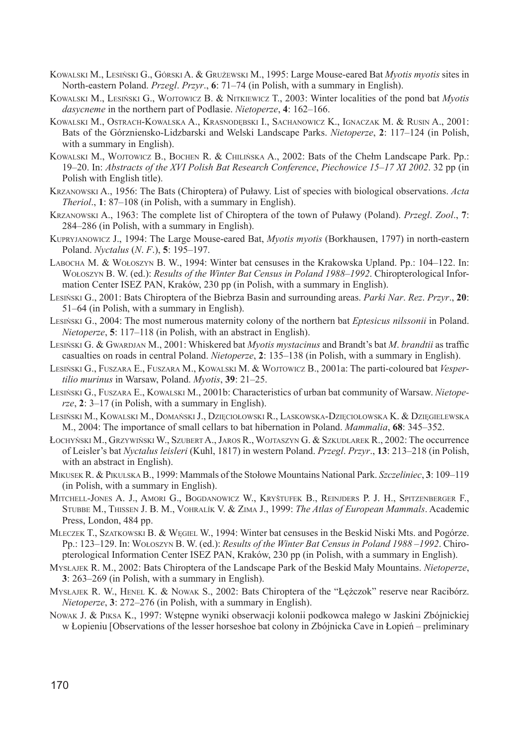- KOWALSKI M., LESIŃSKI G., GÓRSKI A. & GRUŻEWSKI M., 1995: Large Mouse-eared Bat *Myotis myotis* sites in North-eastern Poland. *Przegl*. *Przyr*., **6**: 71–74 (in Polish, with a summary in English).
- KOWALSKI M., LESIŃSKI G., WOJTOWICZ B. & NITKIEWICZ T., 2003: Winter localities of the pond bat *Myotis dasycneme* in the northern part of Podlasie. *Nietoperze*, **4**: 162–166.
- KOWALSKI M., OSTRACH-KOWALSKA A., KRASNODĘBSKI I., SACHANOWICZ K., IGNACZAK M. & RUSIN A., 2001: Bats of the Górzniensko-Lidzbarski and Welski Landscape Parks. *Nietoperze*, **2**: 117–124 (in Polish, with a summary in English).
- KOWALSKI M., WOJTOWICZ B., BOCHEN R. & CHILIŃSKA A., 2002: Bats of the Chełm Landscape Park. Pp.: 19–20. In: *Abstracts of the XVI Polish Bat Research Conference*, *Piechowice 15–17 XI 2002*. 32 pp (in Polish with English title).
- KRZANOWSKI A., 1956: The Bats (Chiroptera) of Puławy. List of species with biological observations. *Acta Theriol*., **1**: 87–108 (in Polish, with a summary in English).
- KRZANOWSKI A., 1963: The complete list of Chiroptera of the town of Puławy (Poland). *Przegl*. *Zool*., **7**: 284–286 (in Polish, with a summary in English).
- KUPRYJANOWICZ J., 1994: The Large Mouse-eared Bat, *Myotis myotis* (Borkhausen, 1797) in north-eastern Poland. *Nyctalus* (*N*. *F*.), **5**: 195–197.
- LABOCHA M. & WOŁOSZYN B. W., 1994: Winter bat censuses in the Krakowska Upland. Pp.: 104–122. In: WOŁOSZYN B. W. (ed.): *Results of the Winter Bat Census in Poland 1988–1992*. Chiropterological Information Center ISEZ PAN, Kraków, 230 pp (in Polish, with a summary in English).
- LESIŃSKI G., 2001: Bats Chiroptera of the Biebrza Basin and surrounding areas. *Parki Nar*. *Rez*. *Przyr*., **20**: 51–64 (in Polish, with a summary in English).
- LESIŃSKI G., 2004: The most numerous maternity colony of the northern bat *Eptesicus nilssonii* in Poland. *Nietoperze*, **5**: 117–118 (in Polish, with an abstract in English).
- LESIŃSKI G. & GWARDJAN M., 2001: Whiskered bat *Myotis mystacinus* and Brandt's bat *M. brandtii* as traffic casualties on roads in central Poland. *Nietoperze*, **2**: 135–138 (in Polish, with a summary in English).
- LESIŃSKI G., FUSZARA E., FUSZARA M., KOWALSKI M. & WOJTOWICZ B., 2001a: The parti-coloured bat *Vesperti lio murinus* in Warsaw, Poland. *Myotis*, **39**: 21–25.
- LESIŃSKI G., FUSZARA E., KOWALSKI M., 2001b: Characteristics of urban bat community of Warsaw. *Nietoper ze*, **2**: 3–17 (in Polish, with a summary in English).
- LESIŃSKI M., KOWALSKI M., DOMAŃSKI J., DZIĘCIOŁOWSKI R., LASKOWSKA-DZIĘCIOŁOWSKA K. & DZIĘGIELEWSKA M., 2004: The importance of small cellars to bat hibernation in Poland. *Mammalia*, **68**: 345–352.
- ŁOCHYŃSKI M., GRZYWIŃSKI W., SZUBERT A., JAROS R., WOJTASZYN G. & SZKUDLAREK R., 2002: The occurrence of Leisler's bat *Nyctalus leisleri* (Kuhl, 1817) in western Poland. *Przegl*. *Przyr*., **13**: 213–218 (in Polish, with an abstract in English).
- MIKUSEK R. & PIKULSKA B., 1999: Mammals of the Stołowe Mountains National Park. *Szczeliniec*, **3**: 109–119 (in Polish, with a summary in English).
- MITCHELL-JONES A. J., AMORI G., BOGDANOWICZ W., KRYŠTUFEK B., REINJDERS P. J. H., SPITZENBERGER F., STUBBE M., THISSEN J. B. M., VOHRALÍK V. & ZIMA J., 1999: *The Atlas of European Mammals*. Academic Press, London, 484 pp.
- MLECZEK T., SZATKOWSKI B. & WĘGIEL W., 1994: Winter bat censuses in the Beskid Niski Mts. and Pogórze. Pp.: 123–129. In: WOŁOSZYN B. W. (ed.): *Results of the Winter Bat Census in Poland 1988–1992*. Chirop te ro lo gi cal Information Center ISEZ PAN, Kraków, 230 pp (in Polish, with a summary in English).
- MYSŁAJEK R. M., 2002: Bats Chiroptera of the Landscape Park of the Beskid Mały Mountains. *Nietoperze*, **3**: 263–269 (in Polish, with a summary in English).
- MYSŁAJEK R. W., HENEL K. & NOWAK S., 2002: Bats Chiroptera of the "Łężczok" reserve near Racibórz. *Nietoperze*, **3**: 272–276 (in Polish, with a summary in English).
- NOWAK J. & PIKSA K., 1997: Wstępne wyniki obserwacji kolonii podkowca małego w Jaskini Zbójnickiej w Łopieniu [Observations of the lesser horseshoe bat colony in Zbójnicka Cave in Łopień – preliminary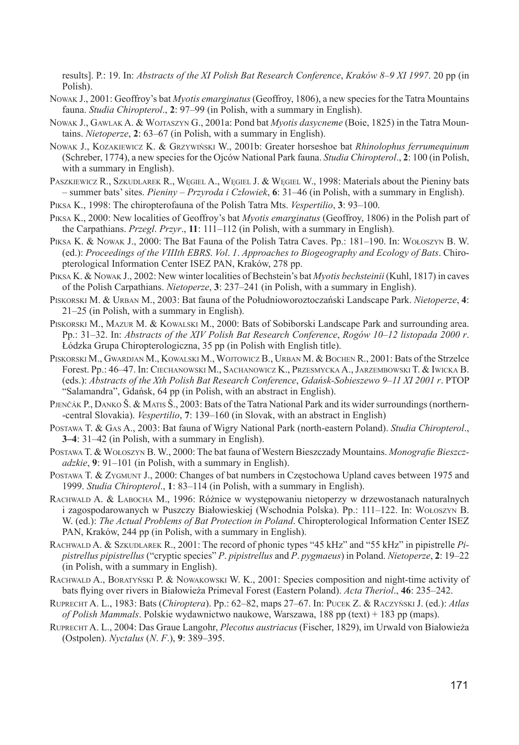re sults]. P.: 19. In: *Abstracts of the XI Polish Bat Research Conference*, *Kraków 8–9 XI 1997*. 20 pp (in Polish).

- Nowak J., 2001: Geoffroy's bat *Myotis emarginatus* (Geoffroy, 1806), a new species for the Tatra Mountains fauna. *Studia Chiropterol*., **2**: 97–99 (in Polish, with a summary in English).
- NOWAK J., GAWLAK A. & WOJTASZYN G., 2001a: Pond bat *Myotis dasycneme* (Boie, 1825) in the Tatra Mountains. *Nietoperze*, 2: 63–67 (in Polish, with a summary in English).
- NOWAK J., KOZAKIEWICZ K. & GRZYWIŃSKI W., 2001b: Greater horseshoe bat *Rhinolophus ferrumequinum*  (Schreber, 1774), a new species for the Ojców National Park fauna. *Studia Chiropterol*., **2**: 100 (in Polish, with a summary in English).
- PASZKIEWICZ R., SZKUDLAREK R., WĘGIEL A., WĘGIEL J. & WĘGIEL W., 1998: Materials about the Pieniny bats – summer bats' sites. *Pieniny – Przyroda i Człowiek*, **6**: 31–46 (in Polish, with a summary in English).
- PIKSA K., 1998: The chiropterofauna of the Polish Tatra Mts. *Vespertilio*, **3**: 93–100.
- PIKSA K., 2000: New localities of Geoffroy's bat *Myotis emarginatus* (Geoffroy, 1806) in the Polish part of the Carpathians. *Przegl*. *Przyr*., **11**: 111–112 (in Polish, with a summary in English).
- PIKSA K. & NOWAK J., 2000: The Bat Fauna of the Polish Tatra Caves. Pp.: 181–190. In: WOŁOSZYN B. W. (ed.): *Proceedings of the VIIIth EBRS. Vol. 1. Approaches to Biogeography and Ecology of Bats.* Chiropterological Information Center ISEZ PAN, Kraków, 278 pp.
- PIKSA K. & NOWAK J., 2002: New winter localities of Bechstein's bat *Myotis bechsteinii* (Kuhl, 1817) in caves of the Polish Carpathians. *Nietoperze*, **3**: 237–241 (in Polish, with a summary in English).
- PISKORSKI M. & URBAN M., 2003: Bat fauna of the Południoworoztoczański Landscape Park. *Nietoperze*, **4**: 21–25 (in Polish, with a summary in English).
- PISKORSKI M., MAZUR M. & KOWALSKI M., 2000: Bats of Sobiborski Landscape Park and surrounding area. Pp.: 31–32. In: *Abstracts of the XIV Polish Bat Research Conference*, *Rogów 10–12 listopada 2000 r.* Łódzka Grupa Chiropterologiczna, 35 pp (in Polish with English title).
- PISKORSKI M., GWARDJAN M., KOWALSKI M., WOJTOWICZ B., URBAN M. & BOCHEN R., 2001: Bats of the Strzelce Forest. Pp.: 46–47. In: CIECHANOWSKI M., SACHANOWICZ K., PRZESMYCKA A., JARZEMBOWSKI T. & IWICKA B. (eds.): *Abstracts of the Xth Polish Bat Research Conference*, *Gdańsk-Sobieszewo 9–11 XI 2001 r*. PTOP "Salamandra", Gdańsk, 64 pp (in Polish, with an abstract in English).
- PJENČÁK P., DANKO Š. & MATIS Š., 2003: Bats of the Tatra National Park and its wider surroundings (northern--central Slovakia). *Vespertilio*, **7**: 139–160 (in Slovak, with an abstract in English)
- POSTAWA T. & GAS A., 2003: Bat fauna of Wigry National Park (north-eastern Poland). *Studia Chiropterol*., **3–4**: 31–42 (in Polish, with a summary in English).
- POSTAWA T. & WOŁOSZYN B. W., 2000: The bat fauna of Western Bieszczady Mountains. *Monografie Bieszczadzkie*, 9: 91–101 (in Polish, with a summary in English).
- POSTAWA T. & ZYGMUNT J., 2000: Changes of bat numbers in Częstochowa Upland caves between 1975 and 1999. *Studia Chiropterol*., **1**: 83–114 (in Polish, with a summary in English).
- RACHWALD A. & LABOCHA M., 1996: Różnice w występowaniu nietoperzy w drzewostanach naturalnych i zagospodarowanych w Puszczy Białowieskiej (Wschodnia Polska). Pp.: 111–122. In: WOŁOSZYN B. W. (ed.): *The Actual Problems of Bat Protection in Poland*. Chiropterological Information Center ISEZ PAN, Kraków, 244 pp (in Polish, with a summary in English).
- RACHWALD A. & SZKUDLAREK R., 2001: The record of phonic types "45 kHz" and "55 kHz" in pipistrelle *Pipis t rel lus pipistrellus* ("cryptic species" *P*. *pipistrellus* and *P*. *pygmaeus*) in Poland. *Nietoperze*, **2**: 19–22 (in Polish, with a summary in English).
- RACHWALD A., BORATYŃSKI P. & NOWAKOWSKI W. K., 2001: Species composition and night-time activity of bats fl ying over rivers in Białowieża Primeval Forest (Eastern Poland). *Acta Theriol*., **46**: 235–242.
- RUPRECHT A. L., 1983: Bats (*Chiroptera*). Pp.: 62–82, maps 27–67. In: PUCEK Z. & RACZYŃSKI J. (ed.): *Atlas of Polish Mammals*. Polskie wydawnictwo naukowe, Warszawa, 188 pp (text) + 183 pp (maps).
- RUPRECHT A. L., 2004: Das Graue Langohr, *Plecotus austriacus* (Fischer, 1829), im Urwald von Białowieża (Ostpolen). *Nyctalus* (*N*. *F*.), **9**: 389–395.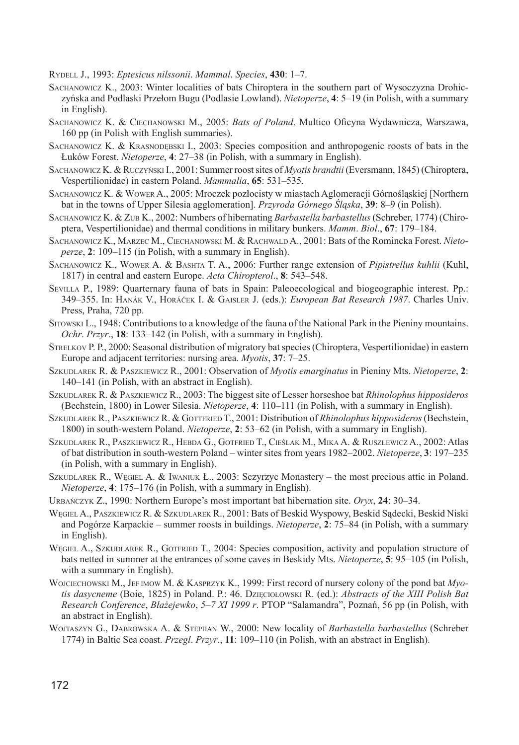RYDELL J., 1993: *Eptesicus nilssonii*. *Mammal*. *Species*, **430**: 1–7.

- SACHANOWICZ K., 2003: Winter localities of bats Chiroptera in the southern part of Wysoczyzna Drohiczyńska and Podlaski Przełom Bugu (Podlasie Lowland). *Nietoperze*, **4**: 5–19 (in Polish, with a summary in English).
- SACHANOWICZ K. & CIECHANOWSKI M., 2005: *Bats of Poland*. Multico Oficyna Wydawnicza, Warszawa, 160 pp (in Polish with English summaries).
- SACHANOWICZ K. & KRASNODEBSKI I., 2003: Species composition and anthropogenic roosts of bats in the Łuków Forest. *Nietoperze*, **4**: 27–38 (in Polish, with a summary in English).
- SACHANOWICZ K. & RUCZYŃSKI I., 2001: Summer roost sites of *Myotis brandtii* (Eversmann, 1845) (Chiroptera, Vespertilionidae) in eastern Poland. *Mammalia*, **65**: 531–535.
- SACHANOWICZ K. & WOWER A., 2005: Mroczek pozłocisty w miastach Aglomeracji Górnośląskiej [Northern bat in the towns of Upper Silesia agglomeration]. *Przyroda Górnego Śląska*, **39**: 8–9 (in Polish).
- SACHANOWICZ K. & ZUB K., 2002: Numbers of hibernating *Barbastella barbastellus* (Schreber, 1774) (Chirop te ra, Vespertilionidae) and thermal conditions in military bunkers. *Mamm*. *Biol*., **67**: 179–184.
- SACHANOWICZ K., MARZEC M., CIECHANOWSKI M. & RACHWALD A., 2001: Bats of the Romincka Forest. Nieto*per ze*, **2**: 109–115 (in Polish, with a summary in English).
- SACHANOWICZ K., WOWER A. & BASHTA T. A., 2006: Further range extension of *Pipistrellus kuhlii* (Kuhl, 1817) in central and eastern Europe. *Acta Chiropterol*., **8**: 543–548.
- SEVILLA P., 1989: Quarternary fauna of bats in Spain: Paleoecological and biogeographic interest. Pp.: 349–355. In: HANÁK V., HORÁČEK I. & GAISLER J. (eds.): *European Bat Research 1987*. Charles Univ. Press, Praha, 720 pp.
- SITOWSKI L., 1948: Contributions to a knowledge of the fauna of the National Park in the Pieniny mountains. *Ochr*. *Przyr*., **18**: 133–142 (in Polish, with a summary in English).
- STRELKOV P. P., 2000: Seasonal distribution of migratory bat species (Chiroptera, Vespertilionidae) in eastern Europe and adjacent territories: nursing area. *Myotis*, **37**: 7–25.
- SZKUDLAREK R. & PASZKIEWICZ R., 2001: Observation of *Myotis emarginatus* in Pieniny Mts. *Nietoperze*, **2**: 140–141 (in Polish, with an abstract in English).
- SZKUDLAREK R. & PASZKIEWICZ R., 2003: The biggest site of Lesser horseshoe bat *Rhinolophus hipposideros*  (Bechstein, 1800) in Lower Silesia. *Nietoperze*, **4**: 110–111 (in Polish, with a summary in English).
- SZKUDLAREK R., PASZKIEWICZ R. & GOTTFRIED T., 2001: Distribution of *Rhinolophus hipposideros* (Bechstein, 1800) in south-western Poland. *Nietoperze*, **2**: 53–62 (in Polish, with a summary in English).
- SZKUDLAREK R., PASZKIEWICZ R., HEBDA G., GOTFRIED T., CIEŚLAK M., MIKA A. & RUSZLEWICZ A., 2002: Atlas of bat distribution in south-western Poland – winter sites from years 1982–2002. *Nietoperze*, **3**: 197–235 (in Polish, with a summary in English).
- SZKUDLAREK R., WĘGIEL A. & IWANIUK Ł., 2003: Sczyrzyc Monastery the most precious attic in Poland. *Nietoperze*, **4**: 175–176 (in Polish, with a summary in English).
- URBAŃCZYK Z., 1990: Northern Europe's most important bat hibernation site. *Oryx*, **24**: 30–34.
- WĘGIEL A., PASZKIEWICZ R. & SZKUDLAREK R., 2001: Bats of Beskid Wyspowy, Beskid Sądecki, Beskid Niski and Pogórze Karpackie – summer roosts in buildings. *Nietoperze*, **2**: 75–84 (in Polish, with a summary in English).
- WĘGIEL A., SZKUDLAREK R., GOTFRIED T., 2004: Species composition, activity and population structure of bats netted in summer at the entrances of some caves in Beskidy Mts. *Nietoperze*, **5**: 95–105 (in Polish, with a summary in English).
- WOJCIECHOWSKI M., JEF IMOW M. & KASPRZYK K., 1999: First record of nursery colony of the pond bat *Myotis dasycneme* (Boie, 1825) in Poland. P.: 46. DZIĘCIOŁOWSKI R. (ed.): *Abstracts of the XIII Polish Bat Research Conference*, *Błażejewko*, *5–7 XI 1999 r*. PTOP "Salamandra", Poznań, 56 pp (in Polish, with an abstract in English).
- WOJTASZYN G., DĄBROWSKA A. & STEPHAN W., 2000: New locality of *Barbastella barbastellus* (Schreber 1774) in Baltic Sea coast. *Przegl*. *Przyr*., **11**: 109–110 (in Polish, with an abstract in English).